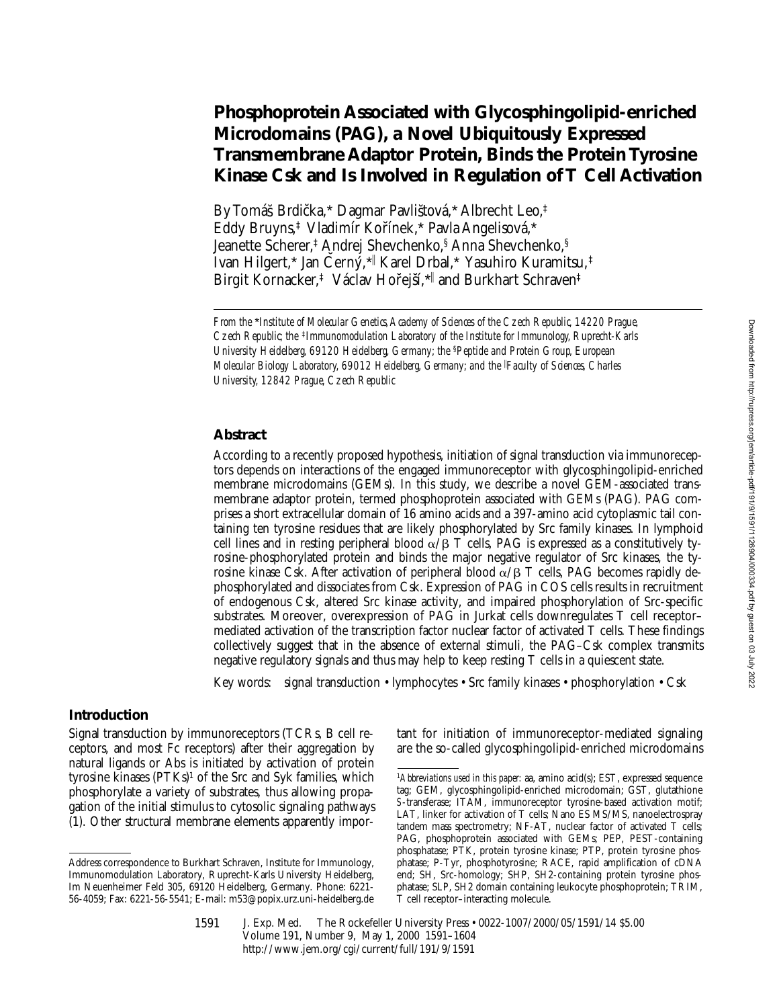# **Phosphoprotein Associated with Glycosphingolipid-enriched Microdomains (PAG), a Novel Ubiquitously Expressed Transmembrane Adaptor Protein, Binds the Protein Tyrosine Kinase Csk and Is Involved in Regulation of T Cell Activation**

By Tomáš Brdička,\* Dagmar Pavlištová,\* Albrecht Leo,‡ Eddy Bruyns,‡ Vladimír Kořínek,\* Pavla Angelisová,\* Jeanette Scherer,‡ Andrej Shevchenko,§ Anna Shevchenko,§ Ivan Hilgert,\* Jan Černý,\*|| Karel Drbal,\* Yasuhiro Kuramitsu,‡ Birgit Kornacker,‡ Václav Hořejší,\*|| and Burkhart Schraven‡

### **Abstract**

According to a recently proposed hypothesis, initiation of signal transduction via immunoreceptors depends on interactions of the engaged immunoreceptor with glycosphingolipid-enriched membrane microdomains (GEMs). In this study, we describe a novel GEM-associated transmembrane adaptor protein, termed phosphoprotein associated with GEMs (PAG). PAG comprises a short extracellular domain of 16 amino acids and a 397-amino acid cytoplasmic tail containing ten tyrosine residues that are likely phosphorylated by Src family kinases. In lymphoid cell lines and in resting peripheral blood  $\alpha/\beta$  T cells, PAG is expressed as a constitutively tyrosine-phosphorylated protein and binds the major negative regulator of Src kinases, the tyrosine kinase Csk. After activation of peripheral blood  $\alpha/\beta$  T cells, PAG becomes rapidly dephosphorylated and dissociates from Csk. Expression of PAG in COS cells results in recruitment of endogenous Csk, altered Src kinase activity, and impaired phosphorylation of Src-specific substrates. Moreover, overexpression of PAG in Jurkat cells downregulates T cell receptor– mediated activation of the transcription factor nuclear factor of activated T cells. These findings collectively suggest that in the absence of external stimuli, the PAG–Csk complex transmits negative regulatory signals and thus may help to keep resting T cells in a quiescent state.

Key words: signal transduction • lymphocytes • Src family kinases • phosphorylation • Csk

# **Introduction**

Signal transduction by immunoreceptors (TCRs, B cell receptors, and most Fc receptors) after their aggregation by natural ligands or Abs is initiated by activation of protein tyrosine kinases (PTKs)<sup>1</sup> of the Src and Syk families, which phosphorylate a variety of substrates, thus allowing propagation of the initial stimulus to cytosolic signaling pathways (1). Other structural membrane elements apparently important for initiation of immunoreceptor-mediated signaling are the so-called glycosphingolipid-enriched microdomains

*From the* \**Institute of Molecular Genetics, Academy of Sciences of the Czech Republic, 14220 Prague, Czech Republic; the* ‡*Immunomodulation Laboratory of the Institute for Immunology, Ruprecht-Karls University Heidelberg, 69120 Heidelberg, Germany; the* §*Peptide and Protein Group, European Molecular Biology Laboratory, 69012 Heidelberg, Germany; and the* <sup>i</sup> *Faculty of Sciences, Charles University, 12842 Prague, Czech Republic*

Address correspondence to Burkhart Schraven, Institute for Immunology, Immunomodulation Laboratory, Ruprecht-Karls University Heidelberg, Im Neuenheimer Feld 305, 69120 Heidelberg, Germany. Phone: 6221- 56-4059; Fax: 6221-56-5541; E-mail: m53@popix.urz.uni-heidelberg.de

<sup>&</sup>lt;sup>1</sup>Abbreviations used in this paper: aa, amino acid(s); EST, expressed sequence tag; GEM, glycosphingolipid-enriched microdomain; GST, glutathione *S*-transferase; ITAM, immunoreceptor tyrosine-based activation motif; LAT, linker for activation of T cells; Nano ES MS/MS, nanoelectrospray tandem mass spectrometry; NF-AT, nuclear factor of activated T cells; PAG, phosphoprotein associated with GEMs; PEP, PEST-containing phosphatase; PTK, protein tyrosine kinase; PTP, protein tyrosine phosphatase; P-Tyr, phosphotyrosine; RACE, rapid amplification of cDNA end; SH, Src-homology; SHP, SH2-containing protein tyrosine phosphatase; SLP, SH2 domain containing leukocyte phosphoprotein; TRIM, T cell receptor–interacting molecule.

<sup>1591</sup>

J. Exp. Med. © The Rockefeller University Press • 0022-1007/2000/05/1591/14 \$5.00 Volume 191, Number 9, May 1, 2000 1591–1604 http://www.jem.org/cgi/current/full/191/9/1591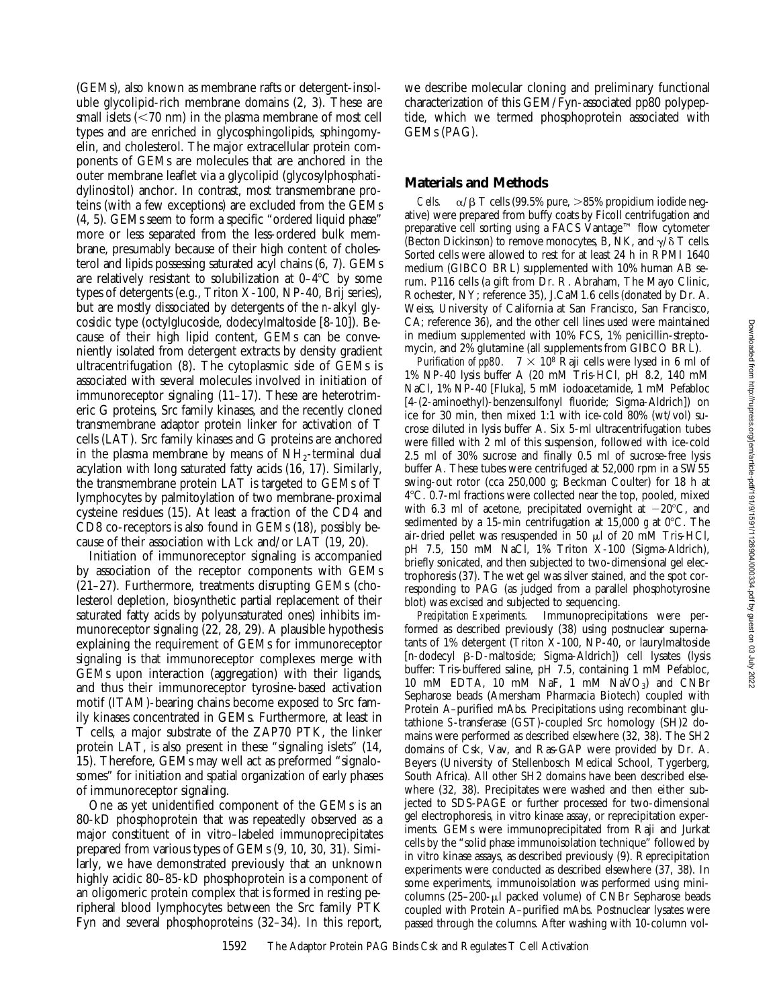(GEMs), also known as membrane rafts or detergent-insoluble glycolipid-rich membrane domains (2, 3). These are small islets  $(< 70$  nm) in the plasma membrane of most cell types and are enriched in glycosphingolipids, sphingomyelin, and cholesterol. The major extracellular protein components of GEMs are molecules that are anchored in the outer membrane leaflet via a glycolipid (glycosylphosphatidylinositol) anchor. In contrast, most transmembrane proteins (with a few exceptions) are excluded from the GEMs (4, 5). GEMs seem to form a specific "ordered liquid phase" more or less separated from the less-ordered bulk membrane, presumably because of their high content of cholesterol and lipids possessing saturated acyl chains (6, 7). GEMs are relatively resistant to solubilization at  $0-4$ °C by some types of detergents (e.g., Triton X-100, NP-40, Brij series), but are mostly dissociated by detergents of the *n*-alkyl glycosidic type (octylglucoside, dodecylmaltoside [8-10]). Because of their high lipid content, GEMs can be conveniently isolated from detergent extracts by density gradient ultracentrifugation (8). The cytoplasmic side of GEMs is associated with several molecules involved in initiation of immunoreceptor signaling (11–17). These are heterotrimeric G proteins, Src family kinases, and the recently cloned transmembrane adaptor protein linker for activation of T cells (LAT). Src family kinases and G proteins are anchored in the plasma membrane by means of  $NH<sub>2</sub>$ -terminal dual acylation with long saturated fatty acids (16, 17). Similarly, the transmembrane protein LAT is targeted to GEMs of T lymphocytes by palmitoylation of two membrane-proximal cysteine residues (15). At least a fraction of the CD4 and CD8 co-receptors is also found in GEMs (18), possibly because of their association with Lck and/or LAT (19, 20).

Initiation of immunoreceptor signaling is accompanied by association of the receptor components with GEMs (21–27). Furthermore, treatments disrupting GEMs (cholesterol depletion, biosynthetic partial replacement of their saturated fatty acids by polyunsaturated ones) inhibits immunoreceptor signaling (22, 28, 29). A plausible hypothesis explaining the requirement of GEMs for immunoreceptor signaling is that immunoreceptor complexes merge with GEMs upon interaction (aggregation) with their ligands, and thus their immunoreceptor tyrosine-based activation motif (ITAM)-bearing chains become exposed to Src family kinases concentrated in GEMs. Furthermore, at least in T cells, a major substrate of the ZAP70 PTK, the linker protein LAT, is also present in these "signaling islets" (14, 15). Therefore, GEMs may well act as preformed "signalosomes" for initiation and spatial organization of early phases of immunoreceptor signaling.

One as yet unidentified component of the GEMs is an 80-kD phosphoprotein that was repeatedly observed as a major constituent of in vitro–labeled immunoprecipitates prepared from various types of GEMs (9, 10, 30, 31). Similarly, we have demonstrated previously that an unknown highly acidic 80–85-kD phosphoprotein is a component of an oligomeric protein complex that is formed in resting peripheral blood lymphocytes between the Src family PTK Fyn and several phosphoproteins (32–34). In this report,

we describe molecular cloning and preliminary functional characterization of this GEM/Fyn-associated pp80 polypeptide, which we termed phosphoprotein associated with GEMs (PAG).

# **Materials and Methods**

*Cells.*  $\alpha$ / $\beta$  T cells (99.5% pure, >85% propidium iodide negative) were prepared from buffy coats by Ficoll centrifugation and preparative cell sorting using a FACS Vantage™ flow cytometer (Becton Dickinson) to remove monocytes, B, NK, and  $\gamma/\delta$  T cells. Sorted cells were allowed to rest for at least 24 h in RPMI 1640 medium (GIBCO BRL) supplemented with 10% human AB serum. P116 cells (a gift from Dr. R. Abraham, The Mayo Clinic, Rochester, NY; reference 35), J.CaM1.6 cells (donated by Dr. A. Weiss, University of California at San Francisco, San Francisco, CA; reference 36), and the other cell lines used were maintained in medium supplemented with 10% FCS, 1% penicillin-streptomycin, and 2% glutamine (all supplements from GIBCO BRL).

*Purification of pp80.*  $7 \times 10^8$  Raji cells were lysed in 6 ml of 1% NP-40 lysis buffer A (20 mM Tris-HCl, pH 8.2, 140 mM NaCl, 1% NP-40 [Fluka], 5 mM iodoacetamide, 1 mM Pefabloc [4-(2-aminoethyl)-benzensulfonyl fluoride; Sigma-Aldrich]) on ice for 30 min, then mixed 1:1 with ice-cold 80% (wt/vol) sucrose diluted in lysis buffer A. Six 5-ml ultracentrifugation tubes were filled with 2 ml of this suspension, followed with ice-cold 2.5 ml of 30% sucrose and finally 0.5 ml of sucrose-free lysis buffer A. These tubes were centrifuged at 52,000 rpm in a SW55 swing-out rotor (cca 250,000 *g*; Beckman Coulter) for 18 h at  $4^{\circ}$ C. 0.7-ml fractions were collected near the top, pooled, mixed with 6.3 ml of acetone, precipitated overnight at  $-20^{\circ}$ C, and sedimented by a 15-min centrifugation at 15,000  $g$  at 0°C. The air-dried pellet was resuspended in 50  $\mu$ l of 20 mM Tris-HCl, pH 7.5, 150 mM NaCl, 1% Triton X-100 (Sigma-Aldrich), briefly sonicated, and then subjected to two-dimensional gel electrophoresis (37). The wet gel was silver stained, and the spot corresponding to PAG (as judged from a parallel phosphotyrosine blot) was excised and subjected to sequencing.

*Precipitation Experiments.* Immunoprecipitations were performed as described previously (38) using postnuclear supernatants of 1% detergent (Triton X-100, NP-40, or laurylmaltoside [n-dodecyl b-D-maltoside; Sigma-Aldrich]) cell lysates (lysis buffer: Tris-buffered saline, pH 7.5, containing 1 mM Pefabloc, 10 mM EDTA, 10 mM NaF, 1 mM  $NaVO<sub>3</sub>$ ) and CNBr Sepharose beads (Amersham Pharmacia Biotech) coupled with Protein A–purified mAbs. Precipitations using recombinant glutathione *S*-transferase (GST)-coupled Src homology (SH)2 domains were performed as described elsewhere (32, 38). The SH2 domains of Csk, Vav, and Ras-GAP were provided by Dr. A. Beyers (University of Stellenbosch Medical School, Tygerberg, South Africa). All other SH2 domains have been described elsewhere (32, 38). Precipitates were washed and then either subjected to SDS-PAGE or further processed for two-dimensional gel electrophoresis, in vitro kinase assay, or reprecipitation experiments. GEMs were immunoprecipitated from Raji and Jurkat cells by the "solid phase immunoisolation technique" followed by in vitro kinase assays, as described previously (9). Reprecipitation experiments were conducted as described elsewhere (37, 38). In some experiments, immunoisolation was performed using minicolumns  $(25-200-\mu l)$  packed volume) of CNBr Sepharose beads coupled with Protein A–purified mAbs. Postnuclear lysates were passed through the columns. After washing with 10-column vol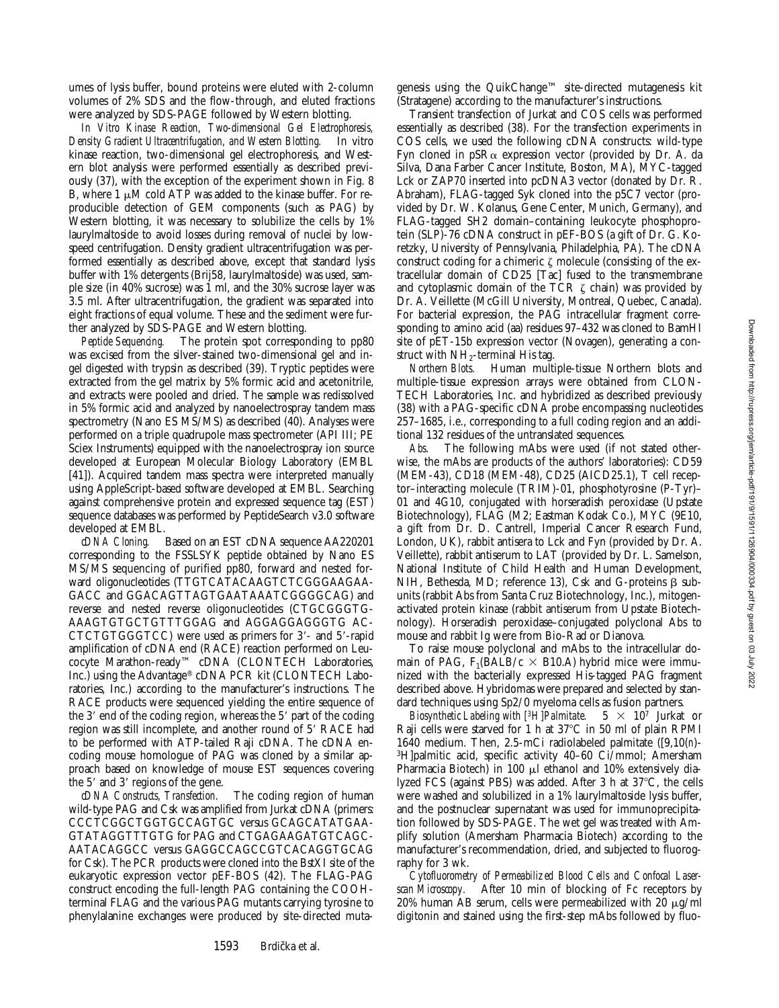umes of lysis buffer, bound proteins were eluted with 2-column volumes of 2% SDS and the flow-through, and eluted fractions were analyzed by SDS-PAGE followed by Western blotting.

*In Vitro Kinase Reaction, Two-dimensional Gel Electrophoresis, Density Gradient Ultracentrifugation, and Western Blotting.* In vitro kinase reaction, two-dimensional gel electrophoresis, and Western blot analysis were performed essentially as described previously (37), with the exception of the experiment shown in Fig. 8 B, where 1  $\mu$ M cold ATP was added to the kinase buffer. For reproducible detection of GEM components (such as PAG) by Western blotting, it was necessary to solubilize the cells by 1% laurylmaltoside to avoid losses during removal of nuclei by lowspeed centrifugation. Density gradient ultracentrifugation was performed essentially as described above, except that standard lysis buffer with 1% detergents (Brij58, laurylmaltoside) was used, sample size (in 40% sucrose) was 1 ml, and the 30% sucrose layer was 3.5 ml. After ultracentrifugation, the gradient was separated into eight fractions of equal volume. These and the sediment were further analyzed by SDS-PAGE and Western blotting.

*Peptide Sequencing.* The protein spot corresponding to pp80 was excised from the silver-stained two-dimensional gel and ingel digested with trypsin as described (39). Tryptic peptides were extracted from the gel matrix by 5% formic acid and acetonitrile, and extracts were pooled and dried. The sample was redissolved in 5% formic acid and analyzed by nanoelectrospray tandem mass spectrometry (Nano ES MS/MS) as described (40). Analyses were performed on a triple quadrupole mass spectrometer (API III; PE Sciex Instruments) equipped with the nanoelectrospray ion source developed at European Molecular Biology Laboratory (EMBL [41]). Acquired tandem mass spectra were interpreted manually using AppleScript-based software developed at EMBL. Searching against comprehensive protein and expressed sequence tag (EST) sequence databases was performed by PeptideSearch v3.0 software developed at EMBL.

*cDNA Cloning.* Based on an EST cDNA sequence AA220201 corresponding to the FSSLSYK peptide obtained by Nano ES MS/MS sequencing of purified pp80, forward and nested forward oligonucleotides (TTGTCATACAAGTCTCGGGAAGAA-GACC and GGACAGTTAGTGAATAAATCGGGGCAG) and reverse and nested reverse oligonucleotides (CTGCGGGTG-AAAGTGTGCTGTTTGGAG and AGGAGGAGGGTG AC-CTCTGTGGGTCC) were used as primers for 3'- and 5'-rapid amplification of cDNA end (RACE) reaction performed on Leucocyte Marathon-ready™ cDNA (CLONTECH Laboratories, Inc.) using the Advantage® cDNA PCR kit (CLONTECH Laboratories, Inc.) according to the manufacturer's instructions. The RACE products were sequenced yielding the entire sequence of the  $3'$  end of the coding region, whereas the  $5'$  part of the coding region was still incomplete, and another round of 5' RACE had to be performed with ATP-tailed Raji cDNA. The cDNA encoding mouse homologue of PAG was cloned by a similar approach based on knowledge of mouse EST sequences covering the 5' and 3' regions of the gene.<br>cDNA Constructs, Transfection.

The coding region of human wild-type PAG and Csk was amplified from Jurkat cDNA (primers: CCCTCGGCTGGTGCCAGTGC versus GCAGCATATGAA-GTATAGGTTTGTG for PAG and CTGAGAAGATGTCAGC-AATACAGGCC versus GAGGCCAGCCGTCACAGGTGCAG for Csk). The PCR products were cloned into the BstXI site of the eukaryotic expression vector pEF-BOS (42). The FLAG-PAG construct encoding the full-length PAG containing the COOHterminal FLAG and the various PAG mutants carrying tyrosine to phenylalanine exchanges were produced by site-directed mutagenesis using the QuikChange™ site-directed mutagenesis kit (Stratagene) according to the manufacturer's instructions.

Transient transfection of Jurkat and COS cells was performed essentially as described (38). For the transfection experiments in COS cells, we used the following cDNA constructs: wild-type Fyn cloned in  $pSR\alpha$  expression vector (provided by Dr. A. da Silva, Dana Farber Cancer Institute, Boston, MA), MYC-tagged Lck or ZAP70 inserted into pcDNA3 vector (donated by Dr. R. Abraham), FLAG-tagged Syk cloned into the p5C7 vector (provided by Dr. W. Kolanus, Gene Center, Munich, Germany), and FLAG-tagged SH2 domain–containing leukocyte phosphoprotein (SLP)-76 cDNA construct in pEF-BOS (a gift of Dr. G. Koretzky, University of Pennsylvania, Philadelphia, PA). The cDNA construct coding for a chimeric  $\zeta$  molecule (consisting of the extracellular domain of CD25 [Tac] fused to the transmembrane and cytoplasmic domain of the TCR  $\zeta$  chain) was provided by Dr. A. Veillette (McGill University, Montreal, Quebec, Canada). For bacterial expression, the PAG intracellular fragment corresponding to amino acid (aa) residues 97–432 was cloned to BamHI site of pET-15b expression vector (Novagen), generating a construct with  $NH<sub>2</sub>$ -terminal His tag.

*Northern Blots.* Human multiple-tissue Northern blots and multiple-tissue expression arrays were obtained from CLON-TECH Laboratories, Inc. and hybridized as described previously (38) with a PAG-specific cDNA probe encompassing nucleotides 257–1685, i.e., corresponding to a full coding region and an additional 132 residues of the untranslated sequences.

*Abs.* The following mAbs were used (if not stated otherwise, the mAbs are products of the authors' laboratories): CD59 (MEM-43), CD18 (MEM-48), CD25 (AICD25.1), T cell receptor–interacting molecule (TRIM)-01, phosphotyrosine (P-Tyr)– 01 and 4G10, conjugated with horseradish peroxidase (Upstate Biotechnology), FLAG (M2; Eastman Kodak Co.), MYC (9E10, a gift from Dr. D. Cantrell, Imperial Cancer Research Fund, London, UK), rabbit antisera to Lck and Fyn (provided by Dr. A. Veillette), rabbit antiserum to LAT (provided by Dr. L. Samelson, National Institute of Child Health and Human Development, NIH, Bethesda, MD; reference 13), Csk and G-proteins  $\beta$  subunits (rabbit Abs from Santa Cruz Biotechnology, Inc.), mitogenactivated protein kinase (rabbit antiserum from Upstate Biotechnology). Horseradish peroxidase–conjugated polyclonal Abs to mouse and rabbit Ig were from Bio-Rad or Dianova.

To raise mouse polyclonal and mAbs to the intracellular domain of PAG,  $F_1(BALB/c \times B10.A)$  hybrid mice were immunized with the bacterially expressed His-tagged PAG fragment described above. Hybridomas were prepared and selected by standard techniques using Sp2/0 myeloma cells as fusion partners.

*Biosynthetic Labeling with [3H]Palmitate.*  $5 \times 10^7$  Jurkat or Raji cells were starved for 1 h at  $37^{\circ}$ C in 50 ml of plain RPMI 1640 medium. Then, 2.5-mCi radiolabeled palmitate ([9,10(*n*)- 3H]palmitic acid, specific activity 40–60 Ci/mmol; Amersham Pharmacia Biotech) in 100  $\mu$ l ethanol and 10% extensively dialyzed FCS (against PBS) was added. After 3 h at 37°C, the cells were washed and solubilized in a 1% laurylmaltoside lysis buffer, and the postnuclear supernatant was used for immunoprecipitation followed by SDS-PAGE. The wet gel was treated with Amplify solution (Amersham Pharmacia Biotech) according to the manufacturer's recommendation, dried, and subjected to fluorography for 3 wk.

*Cytofluorometry of Permeabilized Blood Cells and Confocal Laserscan Microscopy.* After 10 min of blocking of Fc receptors by 20% human AB serum, cells were permeabilized with 20  $\mu$ g/ml digitonin and stained using the first-step mAbs followed by fluo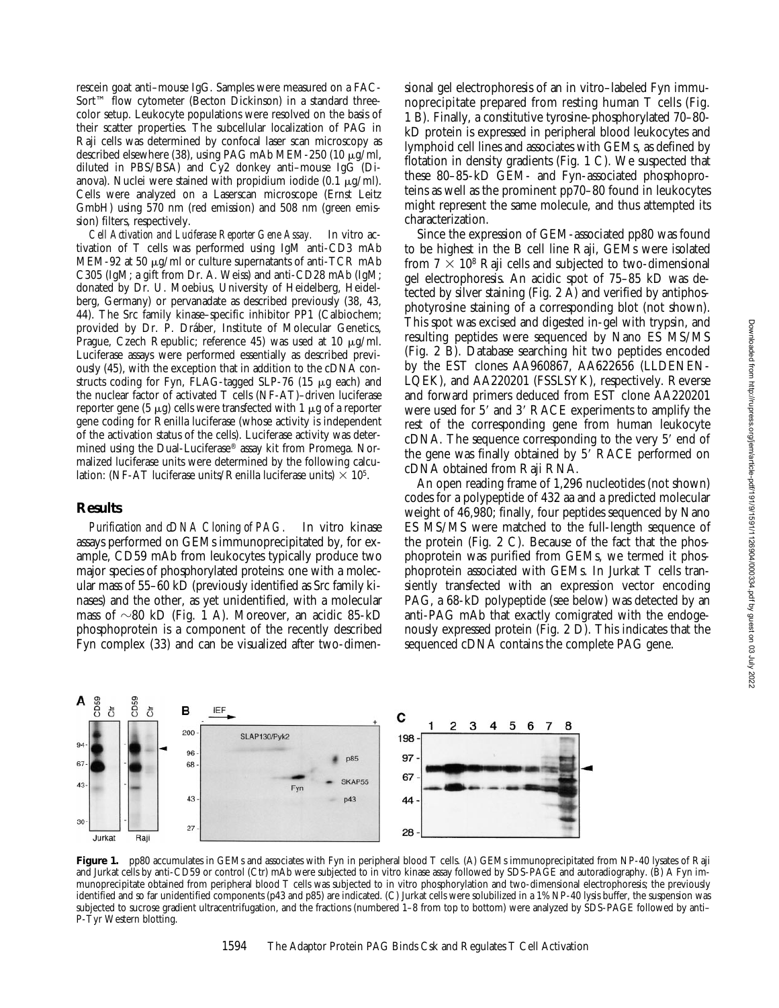rescein goat anti–mouse IgG. Samples were measured on a FAC-Sort™ flow cytometer (Becton Dickinson) in a standard threecolor setup. Leukocyte populations were resolved on the basis of their scatter properties. The subcellular localization of PAG in Raji cells was determined by confocal laser scan microscopy as described elsewhere (38), using PAG mAb MEM-250 (10  $\mu$ g/ml, diluted in PBS/BSA) and Cy2 donkey anti–mouse IgG (Dianova). Nuclei were stained with propidium iodide  $(0.1 \mu g/ml)$ . Cells were analyzed on a Laserscan microscope (Ernst Leitz GmbH) using 570 nm (red emission) and 508 nm (green emission) filters, respectively.

*Cell Activation and Luciferase Reporter Gene Assay.* In vitro activation of T cells was performed using IgM anti-CD3 mAb MEM-92 at 50  $\mu$ g/ml or culture supernatants of anti-TCR mAb C305 (IgM; a gift from Dr. A. Weiss) and anti-CD28 mAb (IgM; donated by Dr. U. Moebius, University of Heidelberg, Heidelberg, Germany) or pervanadate as described previously (38, 43, 44). The Src family kinase–specific inhibitor PP1 (Calbiochem; provided by Dr. P. Dráber, Institute of Molecular Genetics, Prague, Czech Republic; reference 45) was used at 10  $\mu$ g/ml. Luciferase assays were performed essentially as described previously (45), with the exception that in addition to the cDNA constructs coding for Fyn, FLAG-tagged SLP-76 (15  $\mu$ g each) and the nuclear factor of activated T cells (NF-AT)–driven luciferase reporter gene (5  $\mu$ g) cells were transfected with 1  $\mu$ g of a reporter gene coding for Renilla luciferase (whose activity is independent of the activation status of the cells). Luciferase activity was determined using the Dual-Luciferase® assay kit from Promega. Normalized luciferase units were determined by the following calculation: (NF-AT luciferase units/Renilla luciferase units)  $\times$  10<sup>5</sup>.

### **Results**

*Purification and cDNA Cloning of PAG.* In vitro kinase assays performed on GEMs immunoprecipitated by, for example, CD59 mAb from leukocytes typically produce two major species of phosphorylated proteins: one with a molecular mass of 55–60 kD (previously identified as Src family kinases) and the other, as yet unidentified, with a molecular mass of  $\sim$ 80 kD (Fig. 1 A). Moreover, an acidic 85-kD phosphoprotein is a component of the recently described Fyn complex (33) and can be visualized after two-dimensional gel electrophoresis of an in vitro–labeled Fyn immunoprecipitate prepared from resting human T cells (Fig. 1 B). Finally, a constitutive tyrosine-phosphorylated 70–80 kD protein is expressed in peripheral blood leukocytes and lymphoid cell lines and associates with GEMs, as defined by flotation in density gradients (Fig. 1 C). We suspected that these 80–85-kD GEM- and Fyn-associated phosphoproteins as well as the prominent pp70–80 found in leukocytes might represent the same molecule, and thus attempted its characterization.

Since the expression of GEM-associated pp80 was found to be highest in the B cell line Raji, GEMs were isolated from  $7 \times 10^8$  Raji cells and subjected to two-dimensional gel electrophoresis. An acidic spot of 75–85 kD was detected by silver staining (Fig. 2 A) and verified by antiphosphotyrosine staining of a corresponding blot (not shown). This spot was excised and digested in-gel with trypsin, and resulting peptides were sequenced by Nano ES MS/MS (Fig. 2 B). Database searching hit two peptides encoded by the EST clones AA960867, AA622656 (LLDENEN-LQEK), and AA220201 (FSSLSYK), respectively. Reverse and forward primers deduced from EST clone AA220201 were used for 5' and 3' RACE experiments to amplify the rest of the corresponding gene from human leukocyte  $cDNA$ . The sequence corresponding to the very  $5'$  end of the gene was finally obtained by 5' RACE performed on cDNA obtained from Raji RNA.

An open reading frame of 1,296 nucleotides (not shown) codes for a polypeptide of 432 aa and a predicted molecular weight of 46,980; finally, four peptides sequenced by Nano ES MS/MS were matched to the full-length sequence of the protein (Fig. 2 C). Because of the fact that the phosphoprotein was purified from GEMs, we termed it phosphoprotein associated with GEMs. In Jurkat T cells transiently transfected with an expression vector encoding PAG, a 68-kD polypeptide (see below) was detected by an anti-PAG mAb that exactly comigrated with the endogenously expressed protein (Fig. 2 D). This indicates that the sequenced cDNA contains the complete PAG gene.



Figure 1. pp80 accumulates in GEMs and associates with Fyn in peripheral blood T cells. (A) GEMs immunoprecipitated from NP-40 lysates of Raji and Jurkat cells by anti-CD59 or control (Ctr) mAb were subjected to in vitro kinase assay followed by SDS-PAGE and autoradiography. (B) A Fyn immunoprecipitate obtained from peripheral blood T cells was subjected to in vitro phosphorylation and two-dimensional electrophoresis; the previously identified and so far unidentified components (p43 and p85) are indicated. (C) Jurkat cells were solubilized in a 1% NP-40 lysis buffer, the suspension was subjected to sucrose gradient ultracentrifugation, and the fractions (numbered 1–8 from top to bottom) were analyzed by SDS-PAGE followed by anti– P-Tyr Western blotting.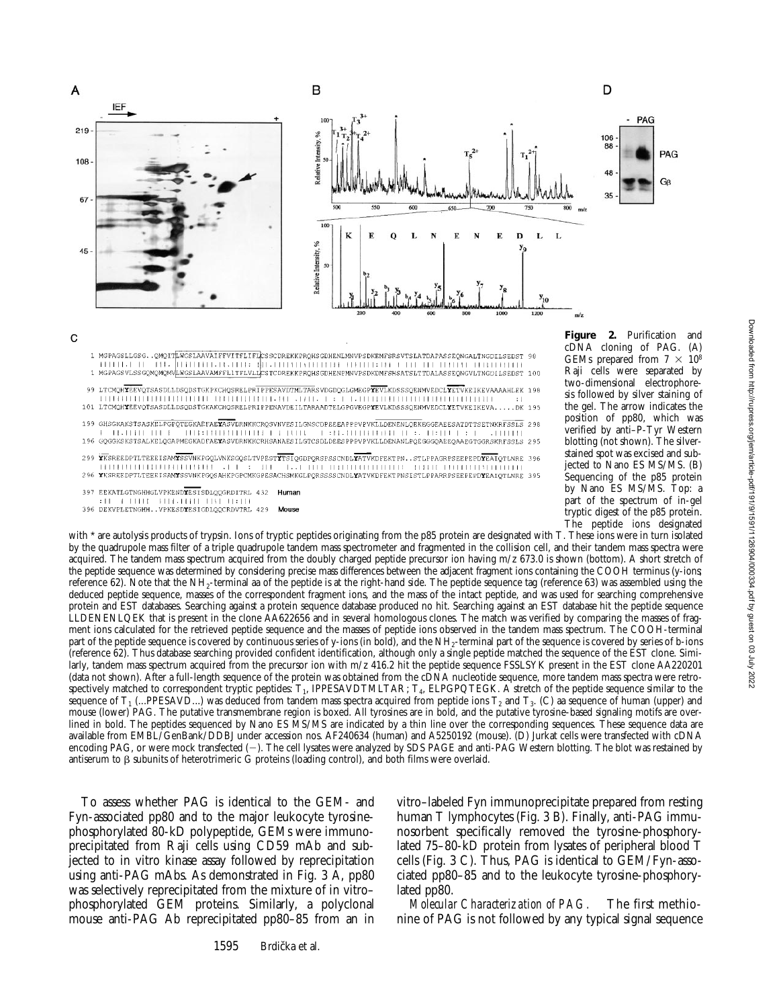

cDNA cloning of PAG. (A) GEMs prepared from  $7 \times 10^8$ Raji cells were separated by two-dimensional electrophoresis followed by silver staining of the gel. The arrow indicates the position of pp80, which was verified by anti–P-Tyr Western blotting (not shown). The silverstained spot was excised and subjected to Nano ES MS/MS. (B) Sequencing of the p85 protein by Nano ES MS/MS. Top: a part of the spectrum of in-gel tryptic digest of the p85 protein. The peptide ions designated

with \* are autolysis products of trypsin. Ions of tryptic peptides originating from the p85 protein are designated with T. These ions were in turn isolated by the quadrupole mass filter of a triple quadrupole tandem mass spectrometer and fragmented in the collision cell, and their tandem mass spectra were acquired. The tandem mass spectrum acquired from the doubly charged peptide precursor ion having m/z 673.0 is shown (bottom). A short stretch of the peptide sequence was determined by considering precise mass differences between the adjacent fragment ions containing the COOH terminus (y-ions; reference 62). Note that the  $NH_2$ -terminal aa of the peptide is at the right-hand side. The peptide sequence tag (reference 63) was assembled using the deduced peptide sequence, masses of the correspondent fragment ions, and the mass of the intact peptide, and was used for searching comprehensive protein and EST databases. Searching against a protein sequence database produced no hit. Searching against an EST database hit the peptide sequence LLDENENLQEK that is present in the clone AA622656 and in several homologous clones. The match was verified by comparing the masses of fragment ions calculated for the retrieved peptide sequence and the masses of peptide ions observed in the tandem mass spectrum. The COOH-terminal part of the peptide sequence is covered by continuous series of y-ions (in bold), and the NH2-terminal part of the sequence is covered by series of b-ions (reference 62). Thus database searching provided confident identification, although only a single peptide matched the sequence of the EST clone. Similarly, tandem mass spectrum acquired from the precursor ion with m/z 416.2 hit the peptide sequence FSSLSYK present in the EST clone AA220201 (data not shown). After a full-length sequence of the protein was obtained from the cDNA nucleotide sequence, more tandem mass spectra were retrospectively matched to correspondent tryptic peptides:  $T_1$ , IPPESAVDTMLTAR;  $T_4$ , ELPGPQTEGK. A stretch of the peptide sequence similar to the sequence of  $T_1$  (...PPESAVD...) was deduced from tandem mass spectra acquired from peptide ions  $T_2$  and  $T_3$ . (C) aa sequence of human (upper) and mouse (lower) PAG. The putative transmembrane region is boxed. All tyrosines are in bold, and the putative tyrosine-based signaling motifs are overlined in bold. The peptides sequenced by Nano ES MS/MS are indicated by a thin line over the corresponding sequences. These sequence data are available from EMBL/GenBank/DDBJ under accession nos. AF240634 (human) and A5250192 (mouse). (D) Jurkat cells were transfected with cDNA encoding PAG, or were mock transfected (-). The cell lysates were analyzed by SDS PAGE and anti-PAG Western blotting. The blot was restained by antiserum to  $\beta$  subunits of heterotrimeric G proteins (loading control), and both films were overlaid.

To assess whether PAG is identical to the GEM- and Fyn-associated pp80 and to the major leukocyte tyrosinephosphorylated 80-kD polypeptide, GEMs were immunoprecipitated from Raji cells using CD59 mAb and subjected to in vitro kinase assay followed by reprecipitation using anti-PAG mAbs. As demonstrated in Fig. 3 A, pp80 was selectively reprecipitated from the mixture of in vitro– phosphorylated GEM proteins. Similarly, a polyclonal mouse anti-PAG Ab reprecipitated pp80–85 from an in

EEKATLGTNGHHGLVPKENDYESISDLQQGRDITRL 432

SPERIMMEDIAMENT REMOVED DESIGNED TO THE SPEAK OF SPEAK PRESENT ASSESSED FOR THE RESPONDENCE AND SERVEL SERVED TO THE RESPONDENCE OF A 29

Human

Mouse

397

vitro–labeled Fyn immunoprecipitate prepared from resting human T lymphocytes (Fig. 3 B). Finally, anti-PAG immunosorbent specifically removed the tyrosine-phosphorylated 75–80-kD protein from lysates of peripheral blood T cells (Fig. 3 C). Thus, PAG is identical to GEM/Fyn-associated pp80–85 and to the leukocyte tyrosine-phosphorylated pp80.

*Molecular Characterization of PAG.* The first methionine of PAG is not followed by any typical signal sequence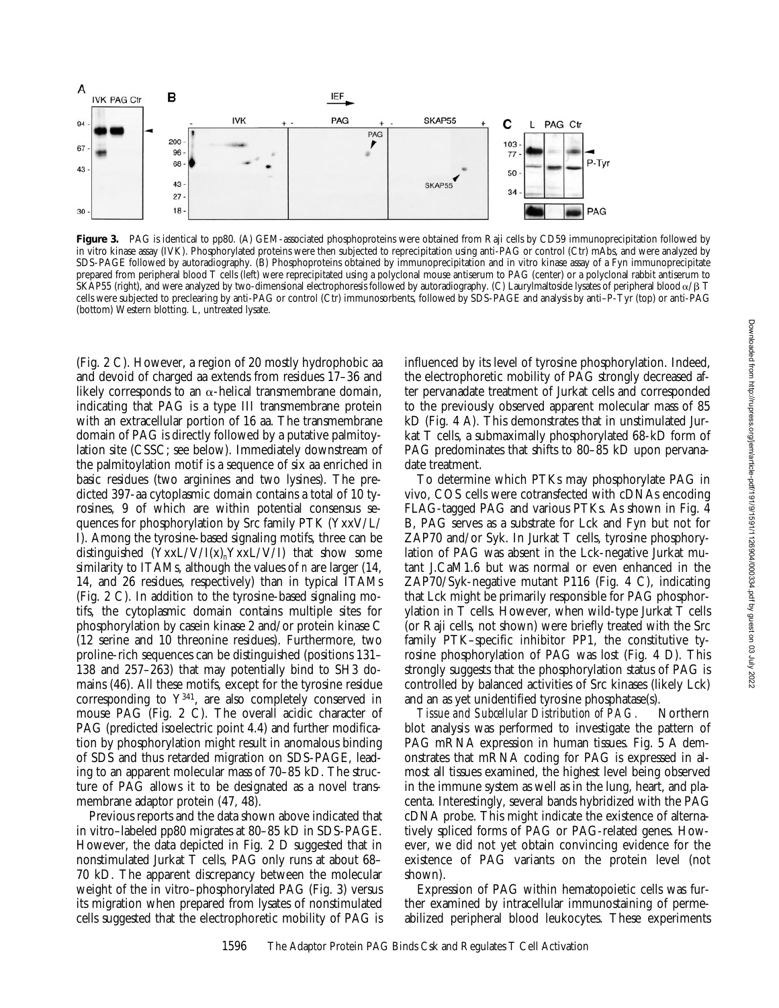

**Figure 3.** PAG is identical to pp80. (A) GEM-associated phosphoproteins were obtained from Raji cells by CD59 immunoprecipitation followed by in vitro kinase assay (IVK). Phosphorylated proteins were then subjected to reprecipitation using anti-PAG or control (Ctr) mAbs, and were analyzed by SDS-PAGE followed by autoradiography. (B) Phosphoproteins obtained by immunoprecipitation and in vitro kinase assay of a Fyn immunoprecipitate prepared from peripheral blood T cells (left) were reprecipitated using a polyclonal mouse antiserum to PAG (center) or a polyclonal rabbit antiserum to SKAP55 (right), and were analyzed by two-dimensional electrophoresis followed by autoradiography. (C) Laurylmaltoside lysates of peripheral blood  $\alpha/\beta$  T cells were subjected to preclearing by anti-PAG or control (Ctr) immunosorbents, followed by SDS-PAGE and analysis by anti–P-Tyr (top) or anti-PAG (bottom) Western blotting. L, untreated lysate.

(Fig. 2 C). However, a region of 20 mostly hydrophobic aa and devoid of charged aa extends from residues 17–36 and likely corresponds to an  $\alpha$ -helical transmembrane domain, indicating that PAG is a type III transmembrane protein with an extracellular portion of 16 aa. The transmembrane domain of PAG is directly followed by a putative palmitoylation site (CSSC; see below). Immediately downstream of the palmitoylation motif is a sequence of six aa enriched in basic residues (two arginines and two lysines). The predicted 397-aa cytoplasmic domain contains a total of 10 tyrosines, 9 of which are within potential consensus sequences for phosphorylation by Src family PTK (YxxV/L/ I). Among the tyrosine-based signaling motifs, three can be distinguished (YxxL/V/I(x)*n*YxxL/V/I) that show some similarity to ITAMs, although the values of *n* are larger (14, 14, and 26 residues, respectively) than in typical ITAMs (Fig. 2 C). In addition to the tyrosine-based signaling motifs, the cytoplasmic domain contains multiple sites for phosphorylation by casein kinase 2 and/or protein kinase C (12 serine and 10 threonine residues). Furthermore, two proline-rich sequences can be distinguished (positions 131– 138 and 257–263) that may potentially bind to SH3 domains (46). All these motifs, except for the tyrosine residue corresponding to Y341, are also completely conserved in mouse PAG (Fig. 2 C). The overall acidic character of PAG (predicted isoelectric point 4.4) and further modification by phosphorylation might result in anomalous binding of SDS and thus retarded migration on SDS-PAGE, leading to an apparent molecular mass of 70–85 kD. The structure of PAG allows it to be designated as a novel transmembrane adaptor protein (47, 48).

Previous reports and the data shown above indicated that in vitro–labeled pp80 migrates at 80–85 kD in SDS-PAGE. However, the data depicted in Fig. 2 D suggested that in nonstimulated Jurkat T cells, PAG only runs at about 68– 70 kD. The apparent discrepancy between the molecular weight of the in vitro–phosphorylated PAG (Fig. 3) versus its migration when prepared from lysates of nonstimulated cells suggested that the electrophoretic mobility of PAG is

influenced by its level of tyrosine phosphorylation. Indeed, the electrophoretic mobility of PAG strongly decreased after pervanadate treatment of Jurkat cells and corresponded to the previously observed apparent molecular mass of 85 kD (Fig. 4 A). This demonstrates that in unstimulated Jurkat T cells, a submaximally phosphorylated 68-kD form of PAG predominates that shifts to 80–85 kD upon pervanadate treatment.

To determine which PTKs may phosphorylate PAG in vivo, COS cells were cotransfected with cDNAs encoding FLAG-tagged PAG and various PTKs. As shown in Fig. 4 B, PAG serves as a substrate for Lck and Fyn but not for ZAP70 and/or Syk. In Jurkat T cells, tyrosine phosphorylation of PAG was absent in the Lck-negative Jurkat mutant J.CaM1.6 but was normal or even enhanced in the ZAP70/Syk-negative mutant P116 (Fig. 4 C), indicating that Lck might be primarily responsible for PAG phosphorylation in T cells. However, when wild-type Jurkat T cells (or Raji cells, not shown) were briefly treated with the Src family PTK–specific inhibitor PP1, the constitutive tyrosine phosphorylation of PAG was lost (Fig. 4 D). This strongly suggests that the phosphorylation status of PAG is controlled by balanced activities of Src kinases (likely Lck) and an as yet unidentified tyrosine phosphatase(s).

*Tissue and Subcellular Distribution of PAG.* Northern blot analysis was performed to investigate the pattern of PAG mRNA expression in human tissues. Fig. 5 A demonstrates that mRNA coding for PAG is expressed in almost all tissues examined, the highest level being observed in the immune system as well as in the lung, heart, and placenta. Interestingly, several bands hybridized with the PAG cDNA probe. This might indicate the existence of alternatively spliced forms of PAG or PAG-related genes. However, we did not yet obtain convincing evidence for the existence of PAG variants on the protein level (not shown).

Expression of PAG within hematopoietic cells was further examined by intracellular immunostaining of permeabilized peripheral blood leukocytes. These experiments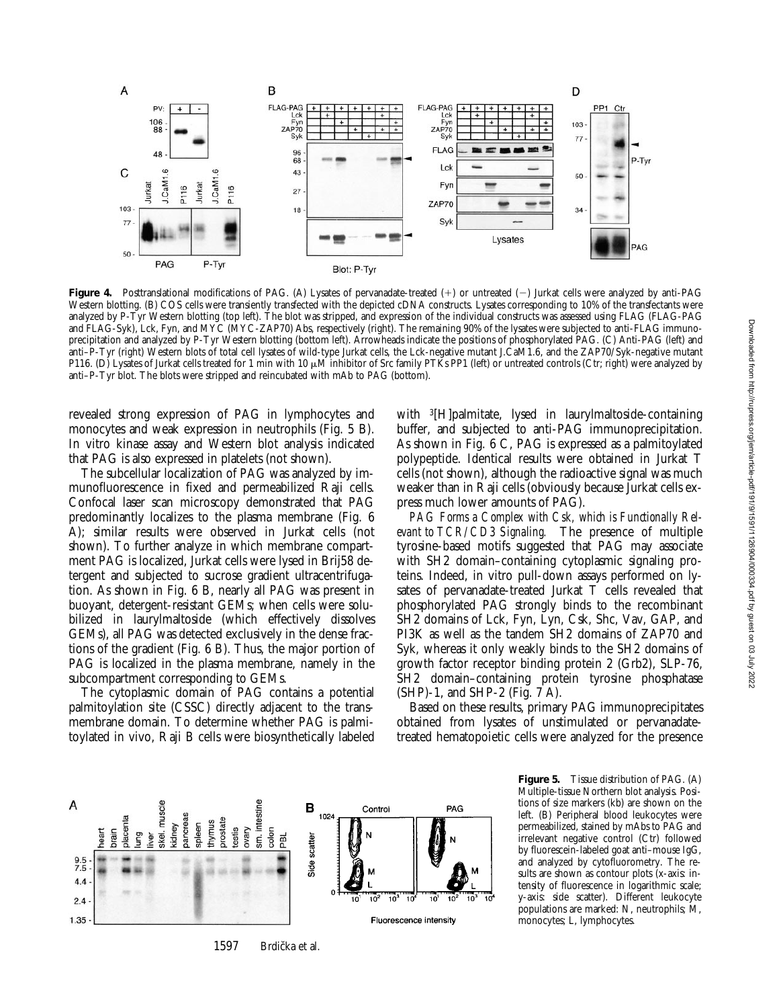

Figure 4. Posttranslational modifications of PAG. (A) Lysates of pervanadate-treated (+) or untreated (-) Jurkat cells were analyzed by anti-PAG Western blotting. (B) COS cells were transiently transfected with the depicted cDNA constructs. Lysates corresponding to 10% of the transfectants were analyzed by P-Tyr Western blotting (top left). The blot was stripped, and expression of the individual constructs was assessed using FLAG (FLAG-PAG and FLAG-Syk), Lck, Fyn, and MYC (MYC-ZAP70) Abs, respectively (right). The remaining 90% of the lysates were subjected to anti-FLAG immunoprecipitation and analyzed by P-Tyr Western blotting (bottom left). Arrowheads indicate the positions of phosphorylated PAG. (C) Anti-PAG (left) and anti–P-Tyr (right) Western blots of total cell lysates of wild-type Jurkat cells, the Lck-negative mutant J.CaM1.6, and the ZAP70/Syk-negative mutant P116. (D) Lysates of Jurkat cells treated for 1 min with 10  $\mu$ M inhibitor of Src family PTKs PP1 (left) or untreated controls (Ctr; right) were analyzed by anti–P-Tyr blot. The blots were stripped and reincubated with mAb to PAG (bottom).

revealed strong expression of PAG in lymphocytes and monocytes and weak expression in neutrophils (Fig. 5 B). In vitro kinase assay and Western blot analysis indicated that PAG is also expressed in platelets (not shown).

The subcellular localization of PAG was analyzed by immunofluorescence in fixed and permeabilized Raji cells. Confocal laser scan microscopy demonstrated that PAG predominantly localizes to the plasma membrane (Fig. 6 A); similar results were observed in Jurkat cells (not shown). To further analyze in which membrane compartment PAG is localized, Jurkat cells were lysed in Brij58 detergent and subjected to sucrose gradient ultracentrifugation. As shown in Fig. 6 B, nearly all PAG was present in buoyant, detergent-resistant GEMs; when cells were solubilized in laurylmaltoside (which effectively dissolves GEMs), all PAG was detected exclusively in the dense fractions of the gradient (Fig. 6 B). Thus, the major portion of PAG is localized in the plasma membrane, namely in the subcompartment corresponding to GEMs.

The cytoplasmic domain of PAG contains a potential palmitoylation site (CSSC) directly adjacent to the transmembrane domain. To determine whether PAG is palmitoylated in vivo, Raji B cells were biosynthetically labeled with <sup>3</sup>[H]palmitate, lysed in laurylmaltoside-containing buffer, and subjected to anti-PAG immunoprecipitation. As shown in Fig. 6 C, PAG is expressed as a palmitoylated polypeptide. Identical results were obtained in Jurkat T cells (not shown), although the radioactive signal was much weaker than in Raji cells (obviously because Jurkat cells express much lower amounts of PAG).

*PAG Forms a Complex with Csk, which is Functionally Relevant to TCR/CD3 Signaling.* The presence of multiple tyrosine-based motifs suggested that PAG may associate with SH2 domain–containing cytoplasmic signaling proteins. Indeed, in vitro pull-down assays performed on lysates of pervanadate-treated Jurkat T cells revealed that phosphorylated PAG strongly binds to the recombinant SH2 domains of Lck, Fyn, Lyn, Csk, Shc, Vav, GAP, and PI3K as well as the tandem SH2 domains of ZAP70 and Syk, whereas it only weakly binds to the SH2 domains of growth factor receptor binding protein 2 (Grb2), SLP-76, SH2 domain–containing protein tyrosine phosphatase (SHP)-1, and SHP-2 (Fig. 7 A).

Based on these results, primary PAG immunoprecipitates obtained from lysates of unstimulated or pervanadatetreated hematopoietic cells were analyzed for the presence



**Figure 5.** Tissue distribution of PAG. (A) Multiple-tissue Northern blot analysis. Positions of size markers (kb) are shown on the left. (B) Peripheral blood leukocytes were permeabilized, stained by mAbs to PAG and irrelevant negative control (Ctr) followed by fluorescein-labeled goat anti–mouse IgG, and analyzed by cytofluorometry. The results are shown as contour plots (x-axis: intensity of fluorescence in logarithmic scale; y-axis: side scatter). Different leukocyte populations are marked: N, neutrophils; M, monocytes; L, lymphocytes.

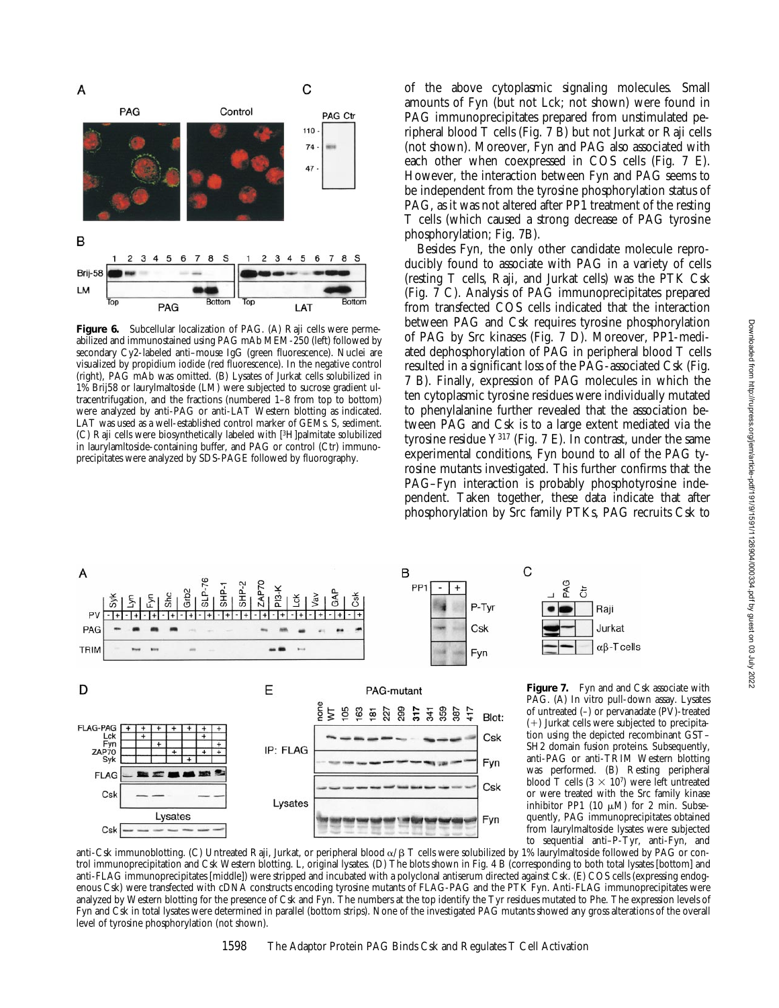

Figure 6. Subcellular localization of PAG. (A) Raji cells were permeabilized and immunostained using PAG mAb MEM-250 (left) followed by secondary Cy2-labeled anti–mouse IgG (green fluorescence). Nuclei are visualized by propidium iodide (red fluorescence). In the negative control (right), PAG mAb was omitted. (B) Lysates of Jurkat cells solubilized in 1% Brij58 or laurylmaltoside (LM) were subjected to sucrose gradient ultracentrifugation, and the fractions (numbered 1–8 from top to bottom) were analyzed by anti-PAG or anti-LAT Western blotting as indicated. LAT was used as a well-established control marker of GEMs. S, sediment. (C) Raji cells were biosynthetically labeled with [3H]palmitate solubilized in laurylamltoside-containing buffer, and PAG or control (Ctr) immunoprecipitates were analyzed by SDS-PAGE followed by fluorography.

of the above cytoplasmic signaling molecules. Small amounts of Fyn (but not Lck; not shown) were found in PAG immunoprecipitates prepared from unstimulated peripheral blood T cells (Fig. 7 B) but not Jurkat or Raji cells (not shown). Moreover, Fyn and PAG also associated with each other when coexpressed in COS cells (Fig. 7 E). However, the interaction between Fyn and PAG seems to be independent from the tyrosine phosphorylation status of PAG, as it was not altered after PP1 treatment of the resting T cells (which caused a strong decrease of PAG tyrosine phosphorylation; Fig. 7B).

Besides Fyn, the only other candidate molecule reproducibly found to associate with PAG in a variety of cells (resting T cells, Raji, and Jurkat cells) was the PTK Csk (Fig. 7 C). Analysis of PAG immunoprecipitates prepared from transfected COS cells indicated that the interaction between PAG and Csk requires tyrosine phosphorylation of PAG by Src kinases (Fig. 7 D). Moreover, PP1-mediated dephosphorylation of PAG in peripheral blood T cells resulted in a significant loss of the PAG-associated Csk (Fig. 7 B). Finally, expression of PAG molecules in which the ten cytoplasmic tyrosine residues were individually mutated to phenylalanine further revealed that the association between PAG and Csk is to a large extent mediated via the tyrosine residue  $Y^{317}$  (Fig. 7 E). In contrast, under the same experimental conditions, Fyn bound to all of the PAG tyrosine mutants investigated. This further confirms that the PAG–Fyn interaction is probably phosphotyrosine independent. Taken together, these data indicate that after phosphorylation by Src family PTKs, PAG recruits Csk to

> Ř  $\overline{5}$

> > Raji

Jurkat

 $\alpha$ ß-Tcells



Figure 7. Fyn and and Csk associate with PAG. (A) In vitro pull-down assay. Lysates of untreated (–) or pervanadate (PV)-treated  $(+)$  Jurkat cells were subjected to precipitation using the depicted recombinant GST– SH2 domain fusion proteins. Subsequently, anti-PAG or anti-TRIM Western blotting was performed. (B) Resting peripheral blood T cells  $(3 \times 10^7)$  were left untreated or were treated with the Src family kinase inhibitor PP1 (10  $\mu$ M) for 2 min. Subsequently, PAG immunoprecipitates obtained from laurylmaltoside lysates were subjected to sequential anti-P-Tyr, anti-Fyn, and

anti-Csk immunoblotting. (C) Untreated Raji, Jurkat, or peripheral blood  $\alpha/\beta$  T cells were solubilized by 1% laurylmaltoside followed by PAG or control immunoprecipitation and Csk Western blotting. L, original lysates. (D) The blots shown in Fig. 4 B (corresponding to both total lysates [bottom] and anti-FLAG immunoprecipitates [middle]) were stripped and incubated with a polyclonal antiserum directed against Csk. (E) COS cells (expressing endogenous Csk) were transfected with cDNA constructs encoding tyrosine mutants of FLAG-PAG and the PTK Fyn. Anti-FLAG immunoprecipitates were analyzed by Western blotting for the presence of Csk and Fyn. The numbers at the top identify the Tyr residues mutated to Phe. The expression levels of Fyn and Csk in total lysates were determined in parallel (bottom strips). None of the investigated PAG mutants showed any gross alterations of the overall level of tyrosine phosphorylation (not shown).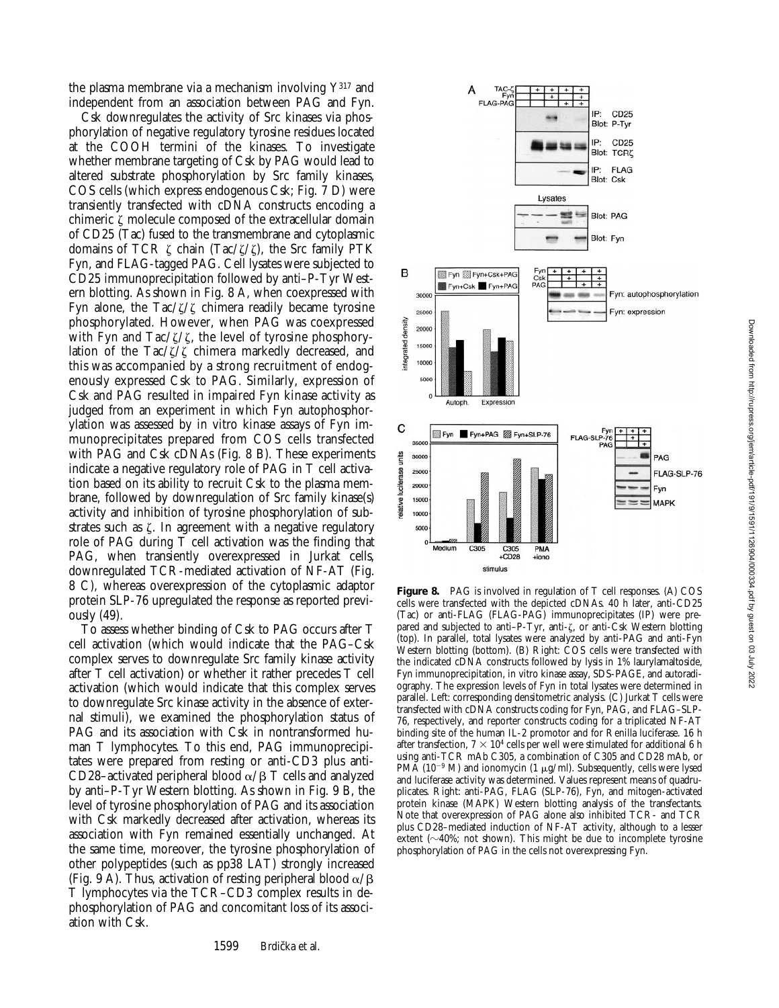the plasma membrane via a mechanism involving Y317 and independent from an association between PAG and Fyn.

Csk downregulates the activity of Src kinases via phosphorylation of negative regulatory tyrosine residues located at the COOH termini of the kinases. To investigate whether membrane targeting of Csk by PAG would lead to altered substrate phosphorylation by Src family kinases, COS cells (which express endogenous Csk; Fig. 7 D) were transiently transfected with cDNA constructs encoding a chimeric  $\zeta$  molecule composed of the extracellular domain of CD25 (Tac) fused to the transmembrane and cytoplasmic domains of TCR  $\zeta$  chain (Tac/ $\zeta$ / $\zeta$ ), the Src family PTK Fyn, and FLAG-tagged PAG. Cell lysates were subjected to CD25 immunoprecipitation followed by anti–P-Tyr Western blotting. As shown in Fig. 8 A, when coexpressed with Fyn alone, the Tac/ $\zeta/\zeta$  chimera readily became tyrosine phosphorylated. However, when PAG was coexpressed with Fyn and Tac/ $\zeta/\zeta$ , the level of tyrosine phosphorylation of the  $\text{Tact}(\zeta/\zeta)$  chimera markedly decreased, and this was accompanied by a strong recruitment of endogenously expressed Csk to PAG. Similarly, expression of Csk and PAG resulted in impaired Fyn kinase activity as judged from an experiment in which Fyn autophosphorylation was assessed by in vitro kinase assays of Fyn immunoprecipitates prepared from COS cells transfected with PAG and Csk cDNAs (Fig. 8 B). These experiments indicate a negative regulatory role of PAG in T cell activation based on its ability to recruit Csk to the plasma membrane, followed by downregulation of Src family kinase(s) activity and inhibition of tyrosine phosphorylation of substrates such as  $\zeta$ . In agreement with a negative regulatory role of PAG during T cell activation was the finding that PAG, when transiently overexpressed in Jurkat cells, downregulated TCR-mediated activation of NF-AT (Fig. 8 C), whereas overexpression of the cytoplasmic adaptor protein SLP-76 upregulated the response as reported previously (49).

To assess whether binding of Csk to PAG occurs after T cell activation (which would indicate that the PAG–Csk complex serves to downregulate Src family kinase activity after T cell activation) or whether it rather precedes T cell activation (which would indicate that this complex serves to downregulate Src kinase activity in the absence of external stimuli), we examined the phosphorylation status of PAG and its association with Csk in nontransformed human T lymphocytes. To this end, PAG immunoprecipitates were prepared from resting or anti-CD3 plus anti-CD28–activated peripheral blood  $\alpha/\beta$  T cells and analyzed by anti–P-Tyr Western blotting. As shown in Fig. 9 B, the level of tyrosine phosphorylation of PAG and its association with Csk markedly decreased after activation, whereas its association with Fyn remained essentially unchanged. At the same time, moreover, the tyrosine phosphorylation of other polypeptides (such as pp38 LAT) strongly increased (Fig. 9 A). Thus, activation of resting peripheral blood  $\alpha/\beta$ T lymphocytes via the TCR–CD3 complex results in dephosphorylation of PAG and concomitant loss of its association with Csk.



**Figure 8.** PAG is involved in regulation of T cell responses. (A) COS cells were transfected with the depicted cDNAs. 40 h later, anti-CD25 (Tac) or anti-FLAG (FLAG-PAG) immunoprecipitates (IP) were prepared and subjected to anti-P-Tyr, anti- $\zeta$ , or anti-Csk Western blotting (top). In parallel, total lysates were analyzed by anti-PAG and anti-Fyn Western blotting (bottom). (B) Right: COS cells were transfected with the indicated cDNA constructs followed by lysis in 1% laurylamaltoside, Fyn immunoprecipitation, in vitro kinase assay, SDS-PAGE, and autoradiography. The expression levels of Fyn in total lysates were determined in parallel. Left: corresponding densitometric analysis. (C) Jurkat T cells were transfected with cDNA constructs coding for Fyn, PAG, and FLAG–SLP-76, respectively, and reporter constructs coding for a triplicated NF-AT binding site of the human IL-2 promotor and for Renilla luciferase. 16 h after transfection,  $7 \times 10^4$  cells per well were stimulated for additional 6 h using anti-TCR mAb C305, a combination of C305 and CD28 mAb, or PMA (10<sup>-9</sup> M) and ionomycin (1  $\mu$ g/ml). Subsequently, cells were lysed and luciferase activity was determined. Values represent means of quadruplicates. Right: anti-PAG, FLAG (SLP-76), Fyn, and mitogen-activated protein kinase (MAPK) Western blotting analysis of the transfectants. Note that overexpression of PAG alone also inhibited TCR- and TCR plus CD28–mediated induction of NF-AT activity, although to a lesser extent  $(\sim40\%;$  not shown). This might be due to incomplete tyrosine phosphorylation of PAG in the cells not overexpressing Fyn.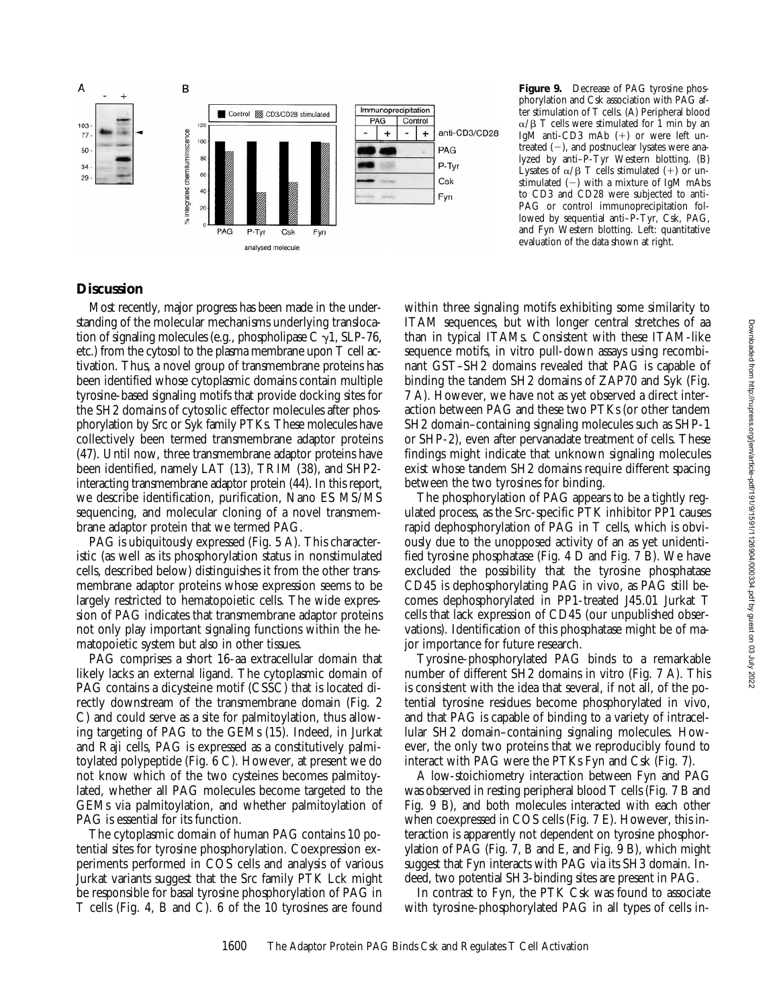

**Figure 9.** Decrease of PAG tyrosine phosphorylation and Csk association with PAG after stimulation of T cells. (A) Peripheral blood  $\alpha/\beta$  T cells were stimulated for 1 min by an IgM anti-CD3 mAb  $(+)$  or were left untreated  $(-)$ , and postnuclear lysates were analyzed by anti–P-Tyr Western blotting. (B) Lysates of  $\alpha/\beta$  T cells stimulated (+) or unstimulated  $(-)$  with a mixture of IgM mAbs to CD3 and CD28 were subjected to anti-PAG or control immunoprecipitation followed by sequential anti–P-Tyr, Csk, PAG, and Fyn Western blotting. Left: quantitative evaluation of the data shown at right.

# **Discussion**

Most recently, major progress has been made in the understanding of the molecular mechanisms underlying translocation of signaling molecules (e.g., phospholipase C  $\gamma$ 1, SLP-76, etc.) from the cytosol to the plasma membrane upon T cell activation. Thus, a novel group of transmembrane proteins has been identified whose cytoplasmic domains contain multiple tyrosine-based signaling motifs that provide docking sites for the SH2 domains of cytosolic effector molecules after phosphorylation by Src or Syk family PTKs. These molecules have collectively been termed transmembrane adaptor proteins (47). Until now, three transmembrane adaptor proteins have been identified, namely LAT (13), TRIM (38), and SHP2 interacting transmembrane adaptor protein (44). In this report, we describe identification, purification, Nano ES MS/MS sequencing, and molecular cloning of a novel transmembrane adaptor protein that we termed PAG.

PAG is ubiquitously expressed (Fig. 5 A). This characteristic (as well as its phosphorylation status in nonstimulated cells, described below) distinguishes it from the other transmembrane adaptor proteins whose expression seems to be largely restricted to hematopoietic cells. The wide expression of PAG indicates that transmembrane adaptor proteins not only play important signaling functions within the hematopoietic system but also in other tissues.

PAG comprises a short 16-aa extracellular domain that likely lacks an external ligand. The cytoplasmic domain of PAG contains a dicysteine motif (CSSC) that is located directly downstream of the transmembrane domain (Fig. 2 C) and could serve as a site for palmitoylation, thus allowing targeting of PAG to the GEMs (15). Indeed, in Jurkat and Raji cells, PAG is expressed as a constitutively palmitoylated polypeptide (Fig. 6 C). However, at present we do not know which of the two cysteines becomes palmitoylated, whether all PAG molecules become targeted to the GEMs via palmitoylation, and whether palmitoylation of PAG is essential for its function.

The cytoplasmic domain of human PAG contains 10 potential sites for tyrosine phosphorylation. Coexpression experiments performed in COS cells and analysis of various Jurkat variants suggest that the Src family PTK Lck might be responsible for basal tyrosine phosphorylation of PAG in T cells (Fig. 4, B and C). 6 of the 10 tyrosines are found

within three signaling motifs exhibiting some similarity to ITAM sequences, but with longer central stretches of aa than in typical ITAMs. Consistent with these ITAM-like sequence motifs, in vitro pull-down assays using recombinant GST–SH2 domains revealed that PAG is capable of binding the tandem SH2 domains of ZAP70 and Syk (Fig. 7 A). However, we have not as yet observed a direct interaction between PAG and these two PTKs (or other tandem SH2 domain–containing signaling molecules such as SHP-1 or SHP-2), even after pervanadate treatment of cells. These findings might indicate that unknown signaling molecules exist whose tandem SH2 domains require different spacing between the two tyrosines for binding.

The phosphorylation of PAG appears to be a tightly regulated process, as the Src-specific PTK inhibitor PP1 causes rapid dephosphorylation of PAG in T cells, which is obviously due to the unopposed activity of an as yet unidentified tyrosine phosphatase (Fig. 4 D and Fig. 7 B). We have excluded the possibility that the tyrosine phosphatase CD45 is dephosphorylating PAG in vivo, as PAG still becomes dephosphorylated in PP1-treated J45.01 Jurkat T cells that lack expression of CD45 (our unpublished observations). Identification of this phosphatase might be of major importance for future research.

Tyrosine-phosphorylated PAG binds to a remarkable number of different SH2 domains in vitro (Fig. 7 A). This is consistent with the idea that several, if not all, of the potential tyrosine residues become phosphorylated in vivo, and that PAG is capable of binding to a variety of intracellular SH2 domain–containing signaling molecules. However, the only two proteins that we reproducibly found to interact with PAG were the PTKs Fyn and Csk (Fig. 7).

A low-stoichiometry interaction between Fyn and PAG was observed in resting peripheral blood T cells (Fig. 7 B and Fig. 9 B), and both molecules interacted with each other when coexpressed in COS cells (Fig. 7 E). However, this interaction is apparently not dependent on tyrosine phosphorylation of PAG (Fig. 7, B and E, and Fig. 9 B), which might suggest that Fyn interacts with PAG via its SH3 domain. Indeed, two potential SH3-binding sites are present in PAG.

In contrast to Fyn, the PTK Csk was found to associate with tyrosine-phosphorylated PAG in all types of cells in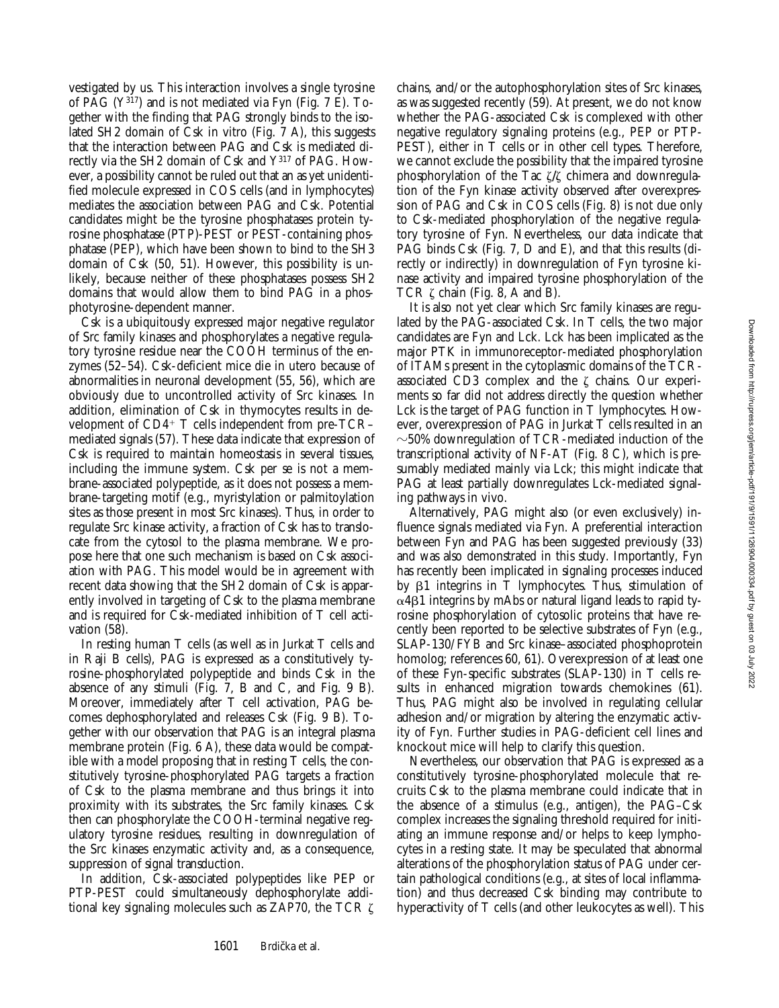vestigated by us. This interaction involves a single tyrosine of PAG ( $Y^{317}$ ) and is not mediated via Fyn (Fig. 7 E). Together with the finding that PAG strongly binds to the isolated SH2 domain of Csk in vitro (Fig. 7 A), this suggests that the interaction between PAG and Csk is mediated directly via the SH2 domain of Csk and Y317 of PAG. However, a possibility cannot be ruled out that an as yet unidentified molecule expressed in COS cells (and in lymphocytes) mediates the association between PAG and Csk. Potential candidates might be the tyrosine phosphatases protein tyrosine phosphatase (PTP)-PEST or PEST-containing phosphatase (PEP), which have been shown to bind to the SH3 domain of Csk (50, 51). However, this possibility is unlikely, because neither of these phosphatases possess SH2 domains that would allow them to bind PAG in a phosphotyrosine-dependent manner.

Csk is a ubiquitously expressed major negative regulator of Src family kinases and phosphorylates a negative regulatory tyrosine residue near the COOH terminus of the enzymes (52–54). Csk-deficient mice die in utero because of abnormalities in neuronal development (55, 56), which are obviously due to uncontrolled activity of Src kinases. In addition, elimination of Csk in thymocytes results in development of  $CD4^+$  T cells independent from pre-TCR– mediated signals (57). These data indicate that expression of Csk is required to maintain homeostasis in several tissues, including the immune system. Csk per se is not a membrane-associated polypeptide, as it does not possess a membrane-targeting motif (e.g., myristylation or palmitoylation sites as those present in most Src kinases). Thus, in order to regulate Src kinase activity, a fraction of Csk has to translocate from the cytosol to the plasma membrane. We propose here that one such mechanism is based on Csk association with PAG. This model would be in agreement with recent data showing that the SH2 domain of Csk is apparently involved in targeting of Csk to the plasma membrane and is required for Csk-mediated inhibition of T cell activation (58).

In resting human T cells (as well as in Jurkat T cells and in Raji B cells), PAG is expressed as a constitutively tyrosine-phosphorylated polypeptide and binds Csk in the absence of any stimuli (Fig. 7, B and C, and Fig. 9 B). Moreover, immediately after T cell activation, PAG becomes dephosphorylated and releases Csk (Fig. 9 B). Together with our observation that PAG is an integral plasma membrane protein (Fig. 6 A), these data would be compatible with a model proposing that in resting T cells, the constitutively tyrosine-phosphorylated PAG targets a fraction of Csk to the plasma membrane and thus brings it into proximity with its substrates, the Src family kinases. Csk then can phosphorylate the COOH-terminal negative regulatory tyrosine residues, resulting in downregulation of the Src kinases enzymatic activity and, as a consequence, suppression of signal transduction.

In addition, Csk-associated polypeptides like PEP or PTP-PEST could simultaneously dephosphorylate additional key signaling molecules such as ZAP70, the TCR  $\zeta$ 

chains, and/or the autophosphorylation sites of Src kinases, as was suggested recently (59). At present, we do not know whether the PAG-associated Csk is complexed with other negative regulatory signaling proteins (e.g., PEP or PTP-PEST), either in T cells or in other cell types. Therefore, we cannot exclude the possibility that the impaired tyrosine phosphorylation of the Tac  $\zeta/\zeta$  chimera and downregulation of the Fyn kinase activity observed after overexpression of PAG and Csk in COS cells (Fig. 8) is not due only to Csk-mediated phosphorylation of the negative regulatory tyrosine of Fyn. Nevertheless, our data indicate that PAG binds Csk (Fig. 7, D and E), and that this results (directly or indirectly) in downregulation of Fyn tyrosine kinase activity and impaired tyrosine phosphorylation of the TCR  $\zeta$  chain (Fig. 8, A and B).

It is also not yet clear which Src family kinases are regulated by the PAG-associated Csk. In T cells, the two major candidates are Fyn and Lck. Lck has been implicated as the major PTK in immunoreceptor-mediated phosphorylation of ITAMs present in the cytoplasmic domains of the TCRassociated CD3 complex and the  $\zeta$  chains. Our experiments so far did not address directly the question whether Lck is the target of PAG function in T lymphocytes. However, overexpression of PAG in Jurkat T cells resulted in an  $\sim$ 50% downregulation of TCR-mediated induction of the transcriptional activity of NF-AT (Fig. 8 C), which is presumably mediated mainly via Lck; this might indicate that PAG at least partially downregulates Lck-mediated signaling pathways in vivo.

Alternatively, PAG might also (or even exclusively) influence signals mediated via Fyn. A preferential interaction between Fyn and PAG has been suggested previously (33) and was also demonstrated in this study. Importantly, Fyn has recently been implicated in signaling processes induced by  $\beta$ 1 integrins in T lymphocytes. Thus, stimulation of  $\alpha$ 4 $\beta$ 1 integrins by mAbs or natural ligand leads to rapid tyrosine phosphorylation of cytosolic proteins that have recently been reported to be selective substrates of Fyn (e.g., SLAP-130/FYB and Src kinase–associated phosphoprotein homolog; references 60, 61). Overexpression of at least one of these Fyn-specific substrates (SLAP-130) in T cells results in enhanced migration towards chemokines (61). Thus, PAG might also be involved in regulating cellular adhesion and/or migration by altering the enzymatic activity of Fyn. Further studies in PAG-deficient cell lines and knockout mice will help to clarify this question.

Nevertheless, our observation that PAG is expressed as a constitutively tyrosine-phosphorylated molecule that recruits Csk to the plasma membrane could indicate that in the absence of a stimulus (e.g., antigen), the PAG–Csk complex increases the signaling threshold required for initiating an immune response and/or helps to keep lymphocytes in a resting state. It may be speculated that abnormal alterations of the phosphorylation status of PAG under certain pathological conditions (e.g., at sites of local inflammation) and thus decreased Csk binding may contribute to hyperactivity of T cells (and other leukocytes as well). This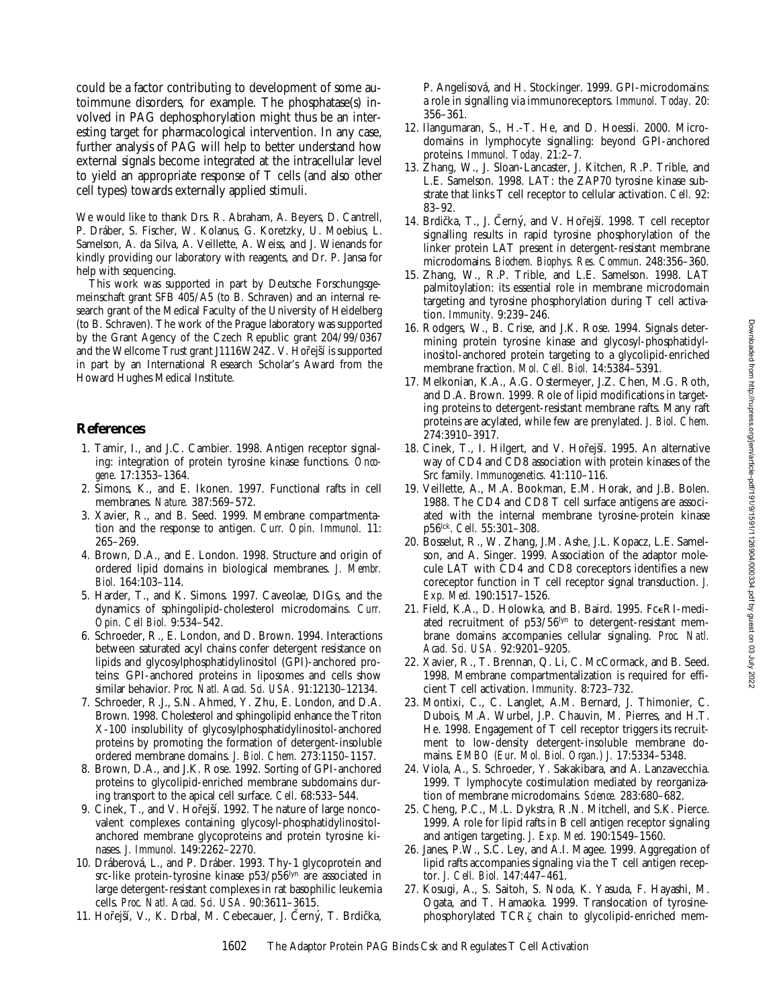could be a factor contributing to development of some autoimmune disorders, for example. The phosphatase(s) involved in PAG dephosphorylation might thus be an interesting target for pharmacological intervention. In any case, further analysis of PAG will help to better understand how external signals become integrated at the intracellular level to yield an appropriate response of T cells (and also other cell types) towards externally applied stimuli.

We would like to thank Drs. R. Abraham, A. Beyers, D. Cantrell, P. Dráber, S. Fischer, W. Kolanus, G. Koretzky, U. Moebius, L. Samelson, A. da Silva, A. Veillette, A. Weiss, and J. Wienands for kindly providing our laboratory with reagents, and Dr. P. Jansa for help with sequencing.

This work was supported in part by Deutsche Forschungsgemeinschaft grant SFB 405/A5 (to B. Schraven) and an internal research grant of the Medical Faculty of the University of Heidelberg (to B. Schraven). The work of the Prague laboratory was supported by the Grant Agency of the Czech Republic grant 204/99/0367 and the Wellcome Trust grant J1116W24Z. V. Hořejší is supported in part by an International Research Scholar's Award from the Howard Hughes Medical Institute.

# **References**

- 1. Tamir, I., and J.C. Cambier. 1998. Antigen receptor signaling: integration of protein tyrosine kinase functions. *Oncogene*. 17:1353–1364.
- 2. Simons, K., and E. Ikonen. 1997. Functional rafts in cell membranes. *Nature.* 387:569–572.
- 3. Xavier, R., and B. Seed. 1999. Membrane compartmentation and the response to antigen. *Curr. Opin. Immunol.* 11: 265–269.
- 4. Brown, D.A., and E. London. 1998. Structure and origin of ordered lipid domains in biological membranes. *J. Membr. Biol.* 164:103–114.
- 5. Harder, T., and K. Simons. 1997. Caveolae, DIGs, and the dynamics of sphingolipid-cholesterol microdomains. *Curr. Opin. Cell Biol.* 9:534–542.
- 6. Schroeder, R., E. London, and D. Brown. 1994. Interactions between saturated acyl chains confer detergent resistance on lipids and glycosylphosphatidylinositol (GPI)-anchored proteins: GPI-anchored proteins in liposomes and cells show similar behavior. *Proc. Natl. Acad. Sci. USA.* 91:12130–12134.
- 7. Schroeder, R.J., S.N. Ahmed, Y. Zhu, E. London, and D.A. Brown. 1998. Cholesterol and sphingolipid enhance the Triton X-100 insolubility of glycosylphosphatidylinositol-anchored proteins by promoting the formation of detergent-insoluble ordered membrane domains. *J. Biol. Chem.* 273:1150–1157.
- 8. Brown, D.A., and J.K. Rose. 1992. Sorting of GPI-anchored proteins to glycolipid-enriched membrane subdomains during transport to the apical cell surface. *Cell*. 68:533–544.
- 9. Cinek, T., and V. Hořejší. 1992. The nature of large noncovalent complexes containing glycosyl-phosphatidylinositolanchored membrane glycoproteins and protein tyrosine kinases. *J. Immunol.* 149:2262–2270.
- 10. Dráberová, L., and P. Dráber. 1993. Thy-1 glycoprotein and src-like protein-tyrosine kinase p53/p56lyn are associated in large detergent-resistant complexes in rat basophilic leukemia cells. *Proc. Natl. Acad. Sci. USA.* 90:3611–3615.
- 11. Hořejší, V., K. Drbal, M. Cebecauer, J. Černý, T. Brdička,

P. Angelisová, and H. Stockinger. 1999. GPI-microdomains: a role in signalling via immunoreceptors. *Immunol. Today.* 20: 356–361.

- 12. Ilangumaran, S., H.-T. He, and D. Hoessli. 2000. Microdomains in lymphocyte signalling: beyond GPI-anchored proteins. *Immunol. Today.* 21:2–7.
- 13. Zhang, W., J. Sloan-Lancaster, J. Kitchen, R.P. Trible, and L.E. Samelson. 1998. LAT: the ZAP70 tyrosine kinase substrate that links T cell receptor to cellular activation. *Cell.* 92: 83–92.
- 14. Brdička, T., J. Černý, and V. Hořejší. 1998. T cell receptor signalling results in rapid tyrosine phosphorylation of the linker protein LAT present in detergent-resistant membrane microdomains. *Biochem. Biophys. Res. Commun.* 248:356–360.
- 15. Zhang, W., R.P. Trible, and L.E. Samelson. 1998. LAT palmitoylation: its essential role in membrane microdomain targeting and tyrosine phosphorylation during T cell activation. *Immunity.* 9:239–246.
- 16. Rodgers, W., B. Crise, and J.K. Rose. 1994. Signals determining protein tyrosine kinase and glycosyl-phosphatidylinositol-anchored protein targeting to a glycolipid-enriched membrane fraction. *Mol. Cell. Biol.* 14:5384–5391.
- 17. Melkonian, K.A., A.G. Ostermeyer, J.Z. Chen, M.G. Roth, and D.A. Brown. 1999. Role of lipid modifications in targeting proteins to detergent-resistant membrane rafts. Many raft proteins are acylated, while few are prenylated. *J. Biol. Chem.* 274:3910–3917.
- 18. Cinek, T., I. Hilgert, and V. Hořejší. 1995. An alternative way of CD4 and CD8 association with protein kinases of the Src family. *Immunogenetics.* 41:110–116.
- 19. Veillette, A., M.A. Bookman, E.M. Horak, and J.B. Bolen. 1988. The CD4 and CD8 T cell surface antigens are associated with the internal membrane tyrosine-protein kinase p56lck. *Cell.* 55:301–308.
- 20. Bosselut, R., W. Zhang, J.M. Ashe, J.L. Kopacz, L.E. Samelson, and A. Singer. 1999. Association of the adaptor molecule LAT with CD4 and CD8 coreceptors identifies a new coreceptor function in T cell receptor signal transduction. *J. Exp. Med.* 190:1517–1526.
- 21. Field, K.A., D. Holowka, and B. Baird. 1995. FceRI-mediated recruitment of p53/56lyn to detergent-resistant membrane domains accompanies cellular signaling. *Proc. Natl. Acad. Sci. USA.* 92:9201–9205.
- 22. Xavier, R., T. Brennan, Q. Li, C. McCormack, and B. Seed. 1998. Membrane compartmentalization is required for efficient T cell activation. *Immunity.* 8:723–732.
- 23. Montixi, C., C. Langlet, A.M. Bernard, J. Thimonier, C. Dubois, M.A. Wurbel, J.P. Chauvin, M. Pierres, and H.T. He. 1998. Engagement of T cell receptor triggers its recruitment to low-density detergent-insoluble membrane domains. *EMBO (Eur. Mol. Biol. Organ.) J.* 17:5334–5348.
- 24. Viola, A., S. Schroeder, Y. Sakakibara, and A. Lanzavecchia. 1999. T lymphocyte costimulation mediated by reorganization of membrane microdomains. *Science.* 283:680–682.
- 25. Cheng, P.C., M.L. Dykstra, R.N. Mitchell, and S.K. Pierce. 1999. A role for lipid rafts in B cell antigen receptor signaling and antigen targeting. *J. Exp. Med.* 190:1549–1560.
- 26. Janes, P.W., S.C. Ley, and A.I. Magee. 1999. Aggregation of lipid rafts accompanies signaling via the T cell antigen receptor. *J. Cell. Biol.* 147:447–461.
- 27. Kosugi, A., S. Saitoh, S. Noda, K. Yasuda, F. Hayashi, M. Ogata, and T. Hamaoka. 1999. Translocation of tyrosinephosphorylated TCRz chain to glycolipid-enriched mem-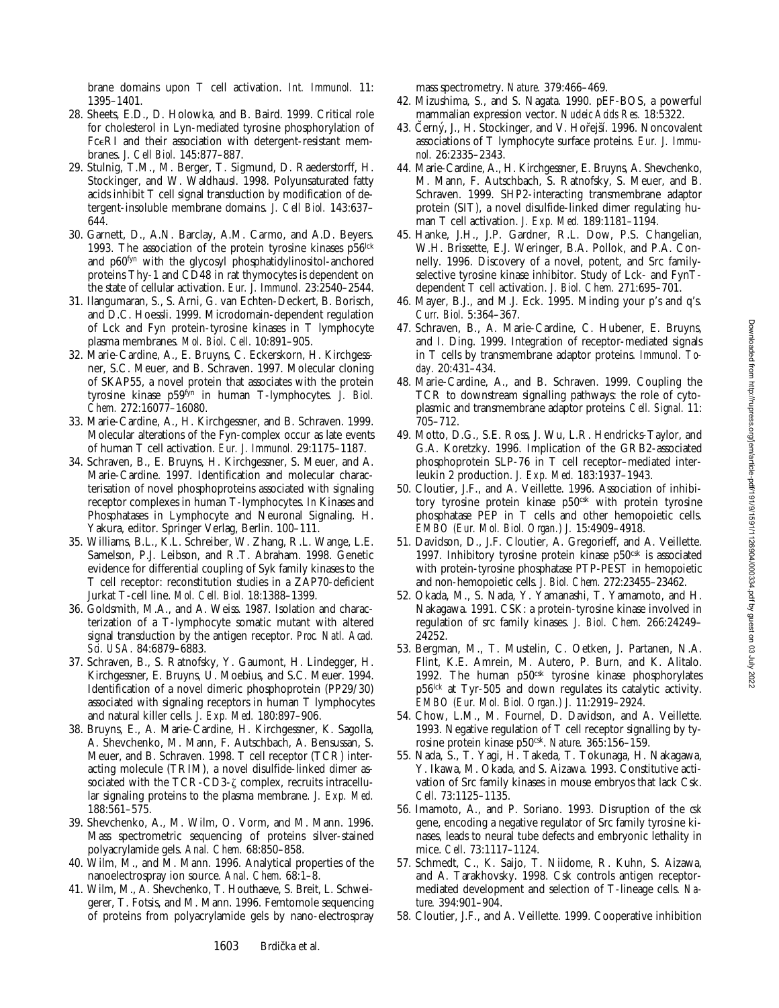brane domains upon T cell activation. *Int. Immunol.* 11: 1395–1401.

- 28. Sheets, E.D., D. Holowka, and B. Baird. 1999. Critical role for cholesterol in Lyn-mediated tyrosine phosphorylation of FceRI and their association with detergent-resistant membranes. *J. Cell Biol.* 145:877–887.
- 29. Stulnig, T.M., M. Berger, T. Sigmund, D. Raederstorff, H. Stockinger, and W. Waldhausl. 1998. Polyunsaturated fatty acids inhibit T cell signal transduction by modification of detergent-insoluble membrane domains. *J. Cell Biol.* 143:637– 644.
- 30. Garnett, D., A.N. Barclay, A.M. Carmo, and A.D. Beyers. 1993. The association of the protein tyrosine kinases  $p56^{\text{lck}}$ and p60fyn with the glycosyl phosphatidylinositol-anchored proteins Thy-1 and CD48 in rat thymocytes is dependent on the state of cellular activation. *Eur. J. Immunol.* 23:2540–2544.
- 31. Ilangumaran, S., S. Arni, G. van Echten-Deckert, B. Borisch, and D.C. Hoessli. 1999. Microdomain-dependent regulation of Lck and Fyn protein-tyrosine kinases in T lymphocyte plasma membranes. *Mol. Biol. Cell*. 10:891–905.
- 32. Marie-Cardine, A., E. Bruyns, C. Eckerskorn, H. Kirchgessner, S.C. Meuer, and B. Schraven. 1997. Molecular cloning of SKAP55, a novel protein that associates with the protein tyrosine kinase p59fyn in human T-lymphocytes. *J. Biol. Chem.* 272:16077–16080.
- 33. Marie-Cardine, A., H. Kirchgessner, and B. Schraven. 1999. Molecular alterations of the Fyn-complex occur as late events of human T cell activation. *Eur. J. Immunol.* 29:1175–1187.
- 34. Schraven, B., E. Bruyns, H. Kirchgessner, S. Meuer, and A. Marie-Cardine. 1997. Identification and molecular characterisation of novel phosphoproteins associated with signaling receptor complexes in human T-lymphocytes. *In* Kinases and Phosphatases in Lymphocyte and Neuronal Signaling. H. Yakura, editor. Springer Verlag, Berlin. 100–111.
- 35. Williams, B.L., K.L. Schreiber, W. Zhang, R.L. Wange, L.E. Samelson, P.J. Leibson, and R.T. Abraham. 1998. Genetic evidence for differential coupling of Syk family kinases to the T cell receptor: reconstitution studies in a ZAP70-deficient Jurkat T-cell line. *Mol. Cell. Biol.* 18:1388–1399.
- 36. Goldsmith, M.A., and A. Weiss. 1987. Isolation and characterization of a T-lymphocyte somatic mutant with altered signal transduction by the antigen receptor. *Proc. Natl. Acad. Sci. USA.* 84:6879–6883.
- 37. Schraven, B., S. Ratnofsky, Y. Gaumont, H. Lindegger, H. Kirchgessner, E. Bruyns, U. Moebius, and S.C. Meuer. 1994. Identification of a novel dimeric phosphoprotein (PP29/30) associated with signaling receptors in human T lymphocytes and natural killer cells. *J. Exp. Med.* 180:897–906.
- 38. Bruyns, E., A. Marie-Cardine, H. Kirchgessner, K. Sagolla, A. Shevchenko, M. Mann, F. Autschbach, A. Bensussan, S. Meuer, and B. Schraven. 1998. T cell receptor (TCR) interacting molecule (TRIM), a novel disulfide-linked dimer associated with the TCR-CD3- $\zeta$  complex, recruits intracellular signaling proteins to the plasma membrane. *J. Exp. Med.* 188:561–575.
- 39. Shevchenko, A., M. Wilm, O. Vorm, and M. Mann. 1996. Mass spectrometric sequencing of proteins silver-stained polyacrylamide gels. *Anal. Chem.* 68:850–858.
- 40. Wilm, M., and M. Mann. 1996. Analytical properties of the nanoelectrospray ion source. *Anal. Chem.* 68:1–8.
- 41. Wilm, M., A. Shevchenko, T. Houthaeve, S. Breit, L. Schweigerer, T. Fotsis, and M. Mann. 1996. Femtomole sequencing of proteins from polyacrylamide gels by nano-electrospray

mass spectrometry. *Nature.* 379:466–469.

- 42. Mizushima, S., and S. Nagata. 1990. pEF-BOS, a powerful mammalian expression vector. *Nucleic Acids Res.* 18:5322.
- 43. Černý, J., H. Stockinger, and V. Hořejší. 1996. Noncovalent associations of T lymphocyte surface proteins. *Eur. J. Immunol.* 26:2335–2343.
- 44. Marie-Cardine, A., H. Kirchgessner, E. Bruyns, A. Shevchenko, M. Mann, F. Autschbach, S. Ratnofsky, S. Meuer, and B. Schraven. 1999. SHP2-interacting transmembrane adaptor protein (SIT), a novel disulfide-linked dimer regulating human T cell activation. *J. Exp. Med.* 189:1181–1194.
- 45. Hanke, J.H., J.P. Gardner, R.L. Dow, P.S. Changelian, W.H. Brissette, E.J. Weringer, B.A. Pollok, and P.A. Connelly. 1996. Discovery of a novel, potent, and Src familyselective tyrosine kinase inhibitor. Study of Lck- and FynTdependent T cell activation. *J. Biol. Chem.* 271:695–701.
- 46. Mayer, B.J., and M.J. Eck. 1995. Minding your p's and q's. *Curr. Biol.* 5:364–367.
- 47. Schraven, B., A. Marie-Cardine, C. Hubener, E. Bruyns, and I. Ding. 1999. Integration of receptor-mediated signals in T cells by transmembrane adaptor proteins. *Immunol. Today.* 20:431–434.
- 48. Marie-Cardine, A., and B. Schraven. 1999. Coupling the TCR to downstream signalling pathways: the role of cytoplasmic and transmembrane adaptor proteins. *Cell. Signal.* 11: 705–712.
- 49. Motto, D.G., S.E. Ross, J. Wu, L.R. Hendricks-Taylor, and G.A. Koretzky. 1996. Implication of the GRB2-associated phosphoprotein SLP-76 in T cell receptor–mediated interleukin 2 production. *J. Exp. Med.* 183:1937–1943.
- 50. Cloutier, J.F., and A. Veillette. 1996. Association of inhibitory tyrosine protein kinase p50<sup>csk</sup> with protein tyrosine phosphatase PEP in T cells and other hemopoietic cells. *EMBO (Eur. Mol. Biol. Organ.) J.* 15:4909–4918.
- 51. Davidson, D., J.F. Cloutier, A. Gregorieff, and A. Veillette. 1997. Inhibitory tyrosine protein kinase  $p50<sup>ck</sup>$  is associated with protein-tyrosine phosphatase PTP-PEST in hemopoietic and non-hemopoietic cells. *J. Biol. Chem.* 272:23455–23462.
- 52. Okada, M., S. Nada, Y. Yamanashi, T. Yamamoto, and H. Nakagawa. 1991. CSK: a protein-tyrosine kinase involved in regulation of src family kinases. *J. Biol. Chem.* 266:24249– 24252.
- 53. Bergman, M., T. Mustelin, C. Oetken, J. Partanen, N.A. Flint, K.E. Amrein, M. Autero, P. Burn, and K. Alitalo. 1992. The human p50<sup>csk</sup> tyrosine kinase phosphorylates p56lck at Tyr-505 and down regulates its catalytic activity. *EMBO (Eur. Mol. Biol. Organ.) J.* 11:2919–2924.
- 54. Chow, L.M., M. Fournel, D. Davidson, and A. Veillette. 1993. Negative regulation of T cell receptor signalling by tyrosine protein kinase p50<sup>csk</sup>. *Nature.* 365:156-159.
- 55. Nada, S., T. Yagi, H. Takeda, T. Tokunaga, H. Nakagawa, Y. Ikawa, M. Okada, and S. Aizawa. 1993. Constitutive activation of Src family kinases in mouse embryos that lack Csk. *Cell.* 73:1125–1135.
- 56. Imamoto, A., and P. Soriano. 1993. Disruption of the *csk* gene, encoding a negative regulator of Src family tyrosine kinases, leads to neural tube defects and embryonic lethality in mice. *Cell.* 73:1117–1124.
- 57. Schmedt, C., K. Saijo, T. Niidome, R. Kuhn, S. Aizawa, and A. Tarakhovsky. 1998. Csk controls antigen receptormediated development and selection of T-lineage cells. *Nature.* 394:901–904.
- 58. Cloutier, J.F., and A. Veillette. 1999. Cooperative inhibition